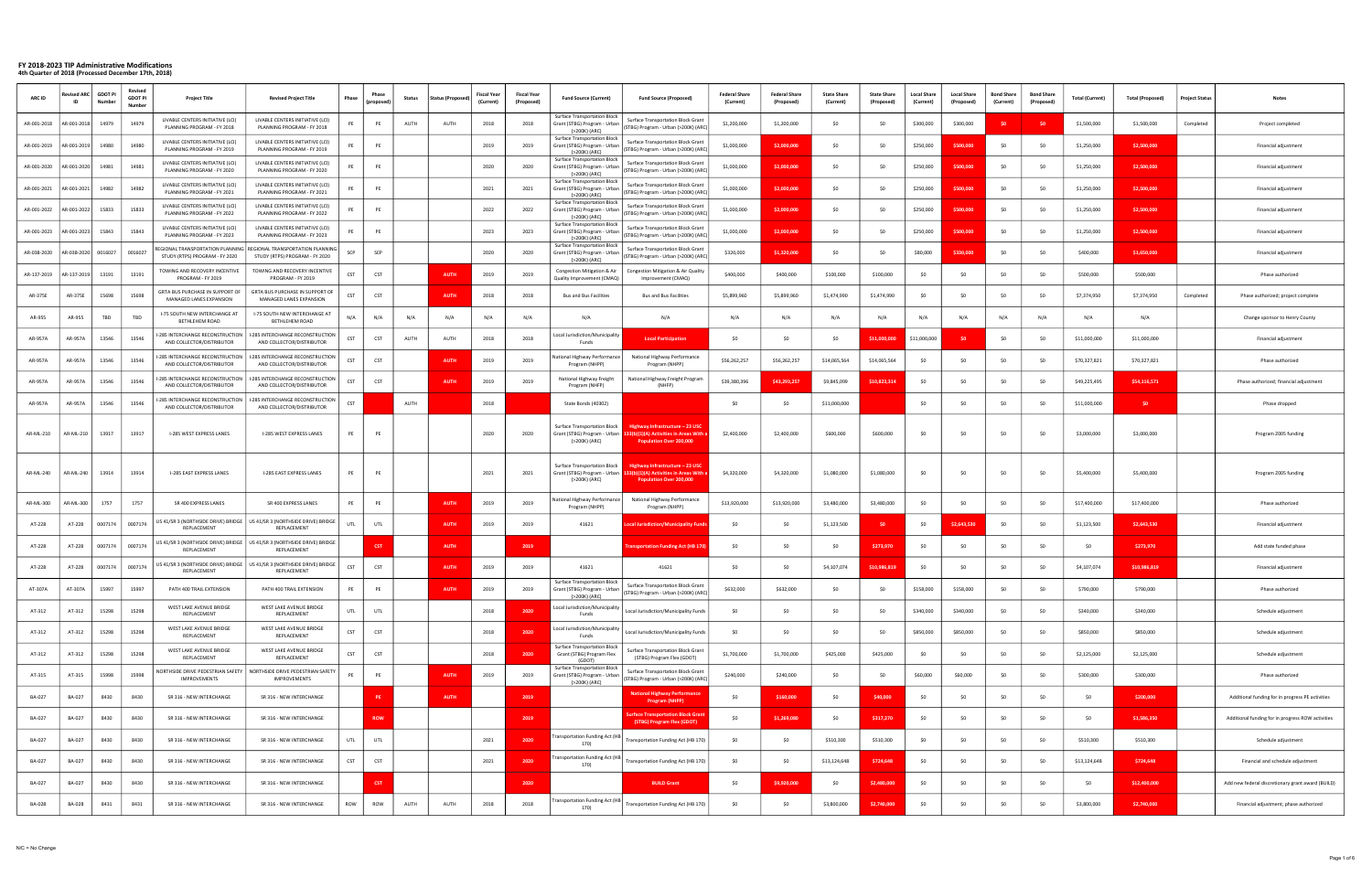| <b>ARC ID</b> | vised AR      | <b>GDOT PI</b><br>Jumbe | Revised<br><b>GDOT PI</b><br>Number | <b>Project Title</b>                                           | <b>Revised Project Title</b>                                                                          | Phase      |            | <b>Status</b> | <b>Status (Proposed</b> | <b>Fiscal Year</b><br>(Current) | <b>Fiscal Yea</b><br>(Proposed) | <b>Fund Source (Current)</b>                                                         | <b>Fund Source (Proposed)</b>                                                                           | <b>Federal Share</b><br>(Current) | <b>Federal Share</b><br>(Proposed) | <b>State Share</b><br>(Current) | <b>State Share</b><br>(Proposed | <b>Local Share</b><br>(Current) | <b>Local Share</b><br>(Proposed) | <b>Bond Share</b><br>(Current) | <b>Bond Share</b><br>(Propose | <b>Total (Current)</b> | <b>Total (Proposed)</b> | <b>Project Status</b> | Notes                                             |
|---------------|---------------|-------------------------|-------------------------------------|----------------------------------------------------------------|-------------------------------------------------------------------------------------------------------|------------|------------|---------------|-------------------------|---------------------------------|---------------------------------|--------------------------------------------------------------------------------------|---------------------------------------------------------------------------------------------------------|-----------------------------------|------------------------------------|---------------------------------|---------------------------------|---------------------------------|----------------------------------|--------------------------------|-------------------------------|------------------------|-------------------------|-----------------------|---------------------------------------------------|
| AR-001-2018   | AR-001-2018   | 14979                   | 14979                               | LIVABLE CENTERS INITIATIVE (LCI)<br>PLANNING PROGRAM - FY 2018 | LIVABLE CENTERS INITIATIVE (LCI)<br>PLANNING PROGRAM - FY 2018                                        | PE         | PE         | AUTH          | AUTH                    | 2018                            | 2018                            | <b>Surface Transportation Block</b><br>Grant (STBG) Program - Urban<br>(>200K) (ARC) | <b>Surface Transportation Block Grant</b><br>(STBG) Program - Urban (>200K) (ARC)                       | \$1,200,000                       | \$1,200,000                        | SO                              | -SC                             | \$300,000                       | \$300,000                        |                                |                               | \$1,500,000            | \$1,500,000             | Completed             | Project completed                                 |
| AR-001-2019   | AR-001-2019   | 14980                   | 14980                               | LIVABLE CENTERS INITIATIVE (LCI)<br>PLANNING PROGRAM - FY 2019 | LIVABLE CENTERS INITIATIVE (LCI)<br>PLANNING PROGRAM - FY 2019                                        | PE         | PE         |               |                         | 2019                            | 2019                            | Surface Transportation Block<br>Grant (STBG) Program - Urban<br>(>200K) (ARC)        | <b>Surface Transportation Block Grant</b><br>(STBG) Program - Urban (>200K) (ARC)                       | \$1,000,000                       | \$2,000,000                        | SO                              | -SC                             | \$250,000                       | \$500,000                        |                                | - SC                          | \$1,250,000            | \$2,500,000             |                       | Financial adjustment                              |
| AR-001-2020   | AR-001-2020   | 14981                   | 14981                               | LIVABLE CENTERS INITIATIVE (LCI)<br>PLANNING PROGRAM - FY 2020 | LIVABLE CENTERS INITIATIVE (LCI)<br>PLANNING PROGRAM - FY 2020                                        | PE         | PE         |               |                         | 2020                            | 2020                            | Surface Transportation Block<br>Grant (STBG) Program - Urban<br>(>200K) (ARC)        | Surface Transportation Block Grant<br>(STBG) Program - Urban (>200K) (ARC)                              | \$1,000,000                       | \$2,000,000                        | S <sub>0</sub>                  | -SC                             | \$250,000                       | \$500,000                        | -SO                            |                               | \$1,250,000            | \$2,500,000             |                       | Financial adjustment                              |
| AR-001-2021   | AR-001-2021   | 14982                   | 14982                               | LIVABLE CENTERS INITIATIVE (LCI)<br>PLANNING PROGRAM - FY 2021 | LIVABLE CENTERS INITIATIVE (LCI)<br>PLANNING PROGRAM - FY 2021                                        | PE         | PE         |               |                         | 2021                            | 2021                            | <b>Surface Transportation Block</b><br>Grant (STBG) Program - Urban<br>(>200K) (ARC) | <b>Surface Transportation Block Grant</b><br>(STBG) Program - Urban (>200K) (ARC)                       | \$1,000,000                       | \$2,000,000                        | \$0                             | -SO                             | \$250,000                       | \$500,000                        | SO                             | - SC                          | \$1,250,000            | \$2,500,000             |                       | Financial adjustment                              |
| AR-001-2022   | AR-001-2022   | 15833                   | 15833                               | LIVABLE CENTERS INITIATIVE (LCI)<br>PLANNING PROGRAM - FY 2022 | LIVABLE CENTERS INITIATIVE (LCI)<br>PLANNING PROGRAM - FY 2022                                        | PE         | PE         |               |                         | 2022                            | 2022                            | <b>Surface Transportation Block</b><br>Grant (STBG) Program - Urban<br>(>200K) (ARC) | <b>Surface Transportation Block Grant</b><br>(STBG) Program - Urban (>200K) (ARC)                       | \$1,000,000                       | \$2,000,000                        | SO                              | -SC                             | \$250,000                       | \$500,000                        |                                |                               | \$1,250,000            | \$2,500,000             |                       | Financial adjustment                              |
| AR-001-2023   | AR-001-2023   | 15843                   | 15843                               | LIVABLE CENTERS INITIATIVE (LCI)<br>PLANNING PROGRAM - FY 2023 | LIVABLE CENTERS INITIATIVE (LCI)<br>PLANNING PROGRAM - FY 2023                                        | PE         | PE         |               |                         | 2023                            | 2023                            | Surface Transportation Block<br>Grant (STBG) Program - Urban<br>(>200K) (ARC)        | Surface Transportation Block Grant<br>(STBG) Program - Urban (>200K) (ARC)                              | \$1,000,000                       | \$2.000.00                         | SO                              |                                 | \$250,000                       | \$500,000                        |                                |                               | \$1,250,000            | \$2,500,000             |                       | Financial adjustment                              |
| AR-038-2020   | AR-038-2020   | 0016027                 | 0016027                             | STUDY (RTPS) PROGRAM - FY 2020                                 | REGIONAL TRANSPORTATION PLANNING   REGIONAL TRANSPORTATION PLANNING<br>STUDY (RTPS) PROGRAM - FY 2020 | SCP        | SCP        |               |                         | 2020                            | 2020                            | Surface Transportation Block<br>Grant (STBG) Program - Urban<br>(>200K) (ARC)        | Surface Transportation Block Grant<br>(STBG) Program - Urban (>200K) (ARC)                              | \$320,000                         | \$1,320,000                        | S <sub>0</sub>                  | -SC                             | \$80,000                        | \$330,000                        |                                |                               | \$400,000              | \$1,650,000             |                       | Financial adjustment                              |
| AR-137-2019   | AR-137-2019   | 13191                   | 13191                               | TOWING AND RECOVERY INCENTIVE<br>PROGRAM - FY 2019             | TOWING AND RECOVERY INCENTIVE<br>PROGRAM - FY 2019                                                    | CST        | CST        |               | <b>AUTH</b>             | 2019                            | 2019                            | Congestion Mitigation & Air<br>Quality Improvement (CMAQ)                            | Congestion Mitigation & Air Quality<br>Improvement (CMAQ)                                               | \$400,000                         | \$400,000                          | \$100,000                       | \$100,000                       | -SO                             | SO.                              |                                | - SC                          | \$500,000              | \$500,000               |                       | Phase authorized                                  |
| AR-375E       | AR-375E       | 15698                   | 15698                               | GRTA BUS PURCHASE IN SUPPORT OF<br>MANAGED LANES EXPANSION     | GRTA BUS PURCHASE IN SUPPORT OF<br>MANAGED LANES EXPANSION                                            | CST        | CST        |               | <b>AUTH</b>             | 2018                            | 2018                            | <b>Bus and Bus Facilities</b>                                                        | <b>Bus and Bus Facilities</b>                                                                           | \$5,899,960                       | \$5,899,960                        | \$1,474,990                     | \$1,474,990                     |                                 | - SO                             |                                | - SC                          | \$7,374,950            | \$7,374,950             | Completed             | Phase authorized; project complete                |
| AR-955        | AR-955        | TBD                     | TBD                                 | -75 SOUTH NEW INTERCHANGE AT<br>BETHLEHEM ROAD                 | I-75 SOUTH NEW INTERCHANGE AT<br>BETHLEHEM ROAD                                                       | N/A        | N/A        | N/A           | N/A                     | N/A                             | N/A                             | N/A                                                                                  | N/A                                                                                                     | N/A                               | N/A                                | N/A                             | N/A                             | N/A                             | N/A                              | N/A                            | N/A                           | N/A                    | N/A                     |                       | Change sponsor to Henry County                    |
| AR-957A       | AR-957A       | 13546                   | 13546                               | -285 INTERCHANGE RECONSTRUCTION<br>AND COLLECTOR/DISTRIBUTOR   | I-285 INTERCHANGE RECONSTRUCTION<br>AND COLLECTOR/DISTRIBUTOR                                         | CST        | CST        | AUTH          | AUTH                    | 2018                            | 2018                            | Local Jurisdiction/Municipality<br>Funds                                             | <b>Local Participation</b>                                                                              | \$0                               | -SO                                | SO                              | 11.000.000                      | \$11,000,000                    |                                  |                                |                               | \$11,000,000           | \$11,000,000            |                       | Financial adjustment                              |
| AR-957A       | AR-957A       | 13546                   | 13546                               | I-285 INTERCHANGE RECONSTRUCTION<br>AND COLLECTOR/DISTRIBUTOR  | -285 INTERCHANGE RECONSTRUCTION<br>AND COLLECTOR/DISTRIBUTOR                                          | CST        | <b>CST</b> |               | <b>AUTH</b>             | 2019                            | 2019                            | Vational Highway Performance<br>Program (NHPP)                                       | National Highway Performance<br>Program (NHPP)                                                          | \$56,262,257                      | \$56,262,257                       | \$14,065,564                    | \$14,065,564                    |                                 | - SO                             |                                |                               | \$70,327,821           | \$70,327,821            |                       | Phase authorized                                  |
| AR-957A       | AR-957A       | 13546                   | 13546                               | -285 INTERCHANGE RECONSTRUCTION  <br>AND COLLECTOR/DISTRIBUTOR | -285 INTERCHANGE RECONSTRUCTION<br>AND COLLECTOR/DISTRIBUTOR                                          | CST        | CST        |               | <b>AUTH</b>             | 2019                            | 2019                            | National Highway Freight<br>Program (NHFP)                                           | National Highway Freight Program<br>(NHFP)                                                              | \$39,380,396                      | \$43,293,257                       | \$9,845,099                     | \$10,823,314                    | SO.                             | SO.                              |                                | - SC                          | \$49,225,495           | \$54,116,571            |                       | Phase authorized; financial adjustment            |
| AR-957A       | AR-957A       | 13546                   | 13546                               | -285 INTERCHANGE RECONSTRUCTION  <br>AND COLLECTOR/DISTRIBUTOR | I-285 INTERCHANGE RECONSTRUCTION<br>AND COLLECTOR/DISTRIBUTOR                                         | CST        |            | AUTH          |                         | 2018                            |                                 | State Bonds (40302)                                                                  |                                                                                                         | \$0                               | -SO                                | \$11,000,000                    |                                 | \$0                             | - SO                             |                                |                               | \$11,000,000           | SO <sub>2</sub>         |                       | Phase dropped                                     |
| AR-ML-210     | AR-ML-210     | 13917                   | 13917                               | I-285 WEST EXPRESS LANES                                       | I-285 WEST EXPRESS LANES                                                                              | PE         | PE         |               |                         | 2020                            | 2020                            | <b>Surface Transportation Block</b><br>Grant (STBG) Program - Urban<br>(>200K) (ARC) | Highway Infrastructure - 23 USC<br>(b)(1)(A) Activities in Areas Wit<br><b>Population Over 200,000</b>  | \$2,400,000                       | \$2,400,000                        | \$600,000                       | \$600,000                       |                                 |                                  |                                |                               | \$3,000,000            | \$3,000,000             |                       | Program Z005 funding                              |
| AR-ML-240     | AR-ML-240     | 13914                   | 13914                               | I-285 EAST EXPRESS LANES                                       | I-285 EAST EXPRESS LANES                                                                              | PE         | PE         |               |                         | 2021                            | 2021                            | Surface Transportation Block<br>Grant (STBG) Program - Urban<br>(>200K) (ARC)        | Highway Infrastructure – 23 USC<br>(b)(1)(A) Activities in Areas Wit<br><b>Population Over 200,000</b>  | \$4,320,000                       | \$4,320,000                        | \$1,080,000                     | \$1,080,000                     |                                 | - SO                             |                                | - SC                          | \$5,400,000            | \$5,400,000             |                       | Program Z005 funding                              |
| AR-ML-300     | AR-ML-300     | 1757                    | 1757                                | SR 400 EXPRESS LANES                                           | SR 400 EXPRESS LANES                                                                                  | PE         | PE         |               | <b>AUTH</b>             | 2019                            | 2019                            | <b>Vational Highway Performance</b><br>Program (NHPP)                                | National Highway Performance<br>Program (NHPP)                                                          | \$13,920,000                      | \$13,920,000                       | \$3,480,000                     | \$3,480,000                     | \$0                             | -SO                              |                                | -SO                           | \$17,400,000           | \$17,400,000            |                       | Phase authorized                                  |
| AT-228        | AT-228        | 0007174                 | 0007174                             | REPLACEMENT                                                    | US 41/SR 3 (NORTHSIDE DRIVE) BRIDGE   US 41/SR 3 (NORTHSIDE DRIVE) BRIDGE<br>REPLACEMENT              | UTL        | UTL        |               | <b>AUTH</b>             | 2019                            | 2019                            | 41621                                                                                | al Jurisdiction/Municipality Fu                                                                         | S <sub>0</sub>                    | -SO                                | \$1,123,500                     |                                 | SO.                             | \$2,643,530                      |                                |                               | \$1,123,500            | \$2,643,530             |                       | Financial adjustment                              |
| AT-228        | AT-228        | 0007174                 | 0007174                             | REPLACEMENT                                                    | US 41/SR 3 (NORTHSIDE DRIVE) BRIDGE   US 41/SR 3 (NORTHSIDE DRIVE) BRIDGE<br>REPLACEMENT              |            | <b>CST</b> |               | <b>AUTH</b>             |                                 | 2019                            |                                                                                      | nsportation Funding Act (HB 170                                                                         | \$0                               | \$0                                | SO                              | \$273,970                       | \$0                             |                                  |                                |                               |                        | \$273,970               |                       | Add state funded phase                            |
| AT-228        | AT-228        | 0007174                 | 0007174                             | REPLACEMENT                                                    | US 41/SR 3 (NORTHSIDE DRIVE) BRIDGE   US 41/SR 3 (NORTHSIDE DRIVE) BRIDGE<br>REPLACEMENT              | CST        | CST        |               | <b>AUTH</b>             | 2019                            | 2019                            | 41621                                                                                | 41621                                                                                                   | \$0                               | \$0                                | \$4,107,074                     | \$10,986,819                    |                                 |                                  |                                | - SC                          | \$4,107,074            | \$10,986,819            |                       | Financial adjustment                              |
| AT-307A       | AT-307A       | 15997                   | 15997                               | PATH 400 TRAIL EXTENSION                                       | PATH 400 TRAIL EXTENSION                                                                              | PE         | PE         |               | <b>AUTH</b>             | 2019                            | 2019                            | <b>Surface Transportation Block</b><br>(>200K) (ARC)                                 | Surface Transportation Block Grant<br>Grant (STBG) Program - Urban (STBG) Program - Urban (>200K) (ARC) | \$632,000                         | \$632,000                          | \$0                             | SO.                             | \$158,000                       | \$158,000                        | \$0                            | - SO                          | \$790,000              | \$790,000               |                       | Phase authorized                                  |
| AT-312        | AT-312        | 15298                   | 15298                               | WEST LAKE AVENUE BRIDGE<br>REPLACEMENT                         | WEST LAKE AVENUE BRIDGE<br>REPLACEMENT                                                                | UTL        | UTL        |               |                         | 2018                            | 2020                            | Local Jurisdiction/Municipality<br>Funds                                             | Local Jurisdiction/Municipality Funds                                                                   | \$0                               | \$0                                | \$0                             | \$0                             | \$340,000                       | \$340,000                        | \$0                            | \$0                           | \$340,000              | \$340,000               |                       | Schedule adjustment                               |
| AT-312        | AT-312        | 15298                   | 15298                               | WEST LAKE AVENUE BRIDGE<br>REPLACEMENT                         | WEST LAKE AVENUE BRIDGE<br>REPLACEMENT                                                                | <b>CST</b> | <b>CST</b> |               |                         | 2018                            | 2020                            | Local Jurisdiction/Municipality<br>Funds                                             | Local Jurisdiction/Municipality Funds                                                                   | \$0                               | SO.                                | \$0                             | -SO                             | \$850,000                       | \$850,000                        |                                | - SC                          | \$850,000              | \$850,000               |                       | Schedule adjustment                               |
| AT-312        | AT-312        | 15298                   | 15298                               | WEST LAKE AVENUE BRIDGE<br>REPLACEMENT                         | WEST LAKE AVENUE BRIDGE<br>REPLACEMENT                                                                | <b>CST</b> | CST        |               |                         | 2018                            | 2020                            | <b>Surface Transportation Block</b><br>Grant (STBG) Program Flex<br>(GDOT            | Surface Transportation Block Grant<br>(STBG) Program Flex (GDOT)                                        | \$1,700,000                       | \$1,700,000                        | \$425,000                       | \$425,000                       |                                 | S <sub>0</sub>                   |                                | - SC                          | \$2,125,000            | \$2,125,000             |                       | Schedule adjustment                               |
| AT-315        | AT-315        | 15998                   | 15998                               | NORTHSIDE DRIVE PEDESTRIAN SAFETY<br>IMPROVEMENTS              | NORTHSIDE DRIVE PEDESTRIAN SAFETY<br>IMPROVEMENTS                                                     | PE         | PE         |               | <b>AUTH</b>             | 2019                            | 2019                            | <b>Surface Transportation Block</b><br>Grant (STBG) Program - Urban<br>(>200K) (ARC) | Surface Transportation Block Grant<br>(STBG) Program - Urban (>200K) (ARC)                              | \$240,000                         | \$240,000                          | \$0                             | SO.                             | \$60,000                        | \$60,000                         |                                | - SO                          | \$300,000              | \$300,000               |                       | Phase authorized                                  |
| BA-027        | BA-027        | 8430                    | 8430                                | SR 316 - NEW INTERCHANGE                                       | SR 316 - NEW INTERCHANGE                                                                              |            | PE         |               | <b>AUTH</b>             |                                 | 2019                            |                                                                                      | <b>National Highway Performance</b><br>Program (NHPP)                                                   | \$0                               | \$160,000                          | \$0                             | \$40,000                        | \$0                             | S <sub>0</sub>                   |                                | - SO                          | \$0                    | \$200,000               |                       | Additional funding for in progress PE activities  |
| BA-027        | BA-027        | 8430                    | 8430                                | SR 316 - NEW INTERCHANGE                                       | SR 316 - NEW INTERCHANGE                                                                              |            | <b>ROW</b> |               |                         |                                 | 2019                            |                                                                                      | urface Transportation Block Gran<br>(STBG) Program Flex (GDOT)                                          | \$0                               | \$1,269,080                        | \$0                             | \$317,270                       | \$0                             | \$0                              | SO.                            | \$0                           | \$0                    | \$1,586,350             |                       | Additional funding for in progress ROW activities |
| BA-027        | BA-027        | 8430                    | 8430                                | SR 316 - NEW INTERCHANGE                                       | SR 316 - NEW INTERCHANGE                                                                              | UTL        | UTL        |               |                         | 2021                            | 2020                            | ansportation Funding Act (HE<br>170)                                                 | Transportation Funding Act (HB 170)                                                                     | \$0                               | \$0                                | \$510,300                       | \$510,300                       |                                 | SO.                              |                                | -SC                           | \$510,300              | \$510,300               |                       | Schedule adjustment                               |
| BA-027        | BA-027        | 8430                    | 8430                                | SR 316 - NEW INTERCHANGE                                       | SR 316 - NEW INTERCHANGE                                                                              | <b>CST</b> | CST        |               |                         | 2021                            | 2020                            | ransportation Funding Act (HB<br>170)                                                | Transportation Funding Act (HB 170)                                                                     | \$0                               | S <sub>0</sub>                     | \$13,124,648                    | \$724,648                       | \$0                             | S <sub>0</sub>                   |                                | - SC                          | \$13,124,648           | \$724,648               |                       | Financial and schedule adjustment                 |
| BA-027        | BA-027        | 8430                    | 8430                                | SR 316 - NEW INTERCHANGE                                       | SR 316 - NEW INTERCHANGE                                                                              |            | <b>CST</b> |               |                         |                                 | 2020                            |                                                                                      | <b>BUILD Grant</b>                                                                                      | \$0                               | \$9,920,000                        | \$0                             | \$2,480,000                     | \$0                             | -SO                              |                                | - so                          | \$0                    | \$12,400,000            |                       | Add new federal discretionary grant award (BUILD) |
| <b>BA-028</b> | <b>BA-028</b> | 8431                    | 8431                                | SR 316 - NEW INTERCHANGE                                       | SR 316 - NEW INTERCHANGE                                                                              | ROW        | ROW        | AUTH          | AUTH                    | 2018                            | 2018                            | ransportation Funding Act (HB<br>170)                                                | Transportation Funding Act (HB 170)                                                                     | \$0                               | \$0                                | \$3,800,000                     | \$2,740,000                     | \$0                             | -SO                              | \$0                            | - SO                          | \$3,800,000            | \$2,740,000             |                       | Financial adjustment; phase authorized            |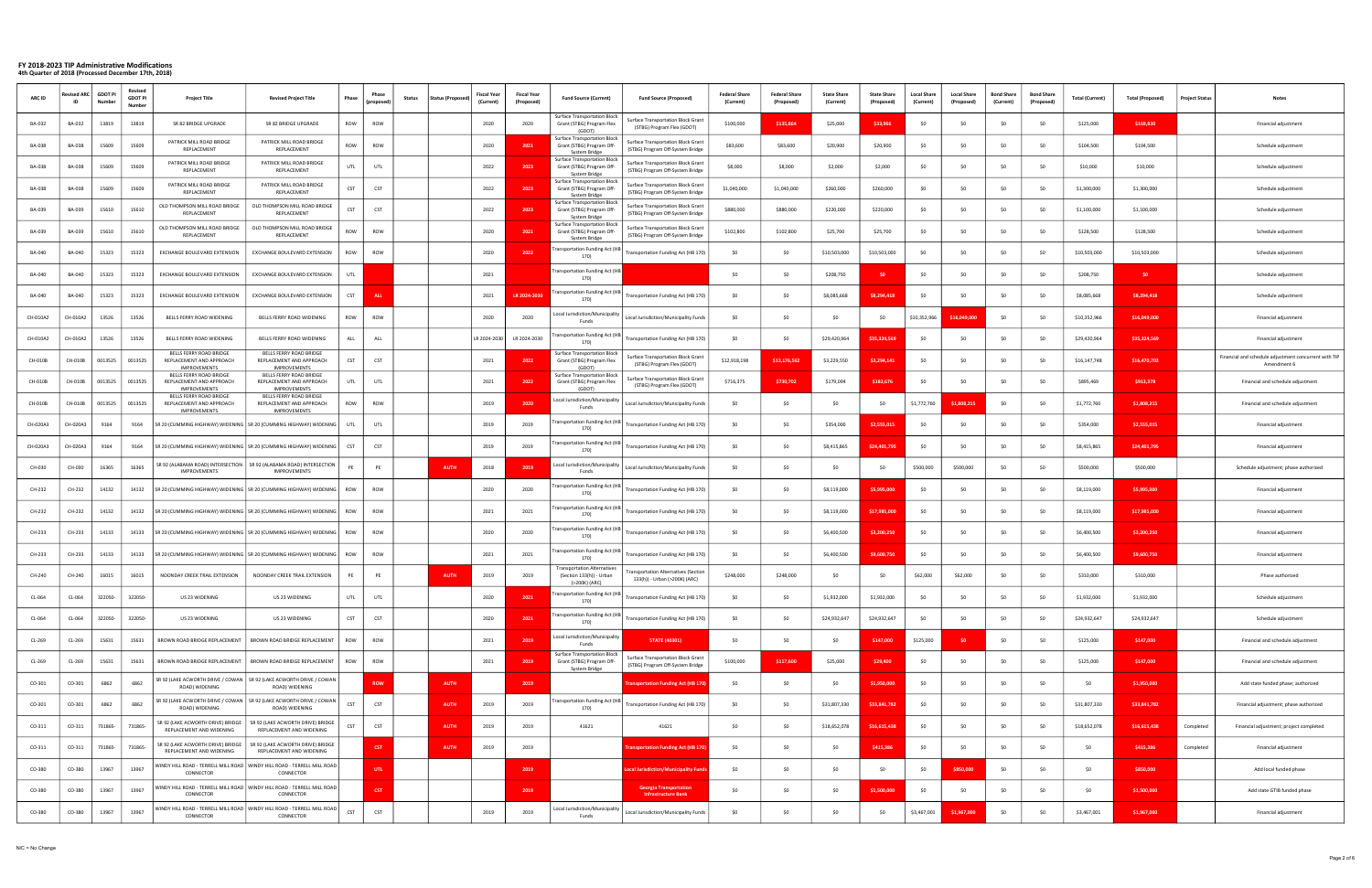| <b>ARC ID</b> | evised AR     | <b>GDOT PI</b><br>Numbe | <b>Revise</b><br><b>GDOT PI</b><br>Number | <b>Project Title</b>                                                       | <b>Revised Project Title</b>                                                             | Phase      | propose    | <b>Status (Proposer</b><br><b>Status</b> | <b>Fiscal Year</b><br>(Current) | Fiscal Yea<br>(Proposed) | <b>Fund Source (Current)</b>                                                                | <b>Fund Source (Proposed)</b>                                          | <b>Federal Share</b><br>(Current) | <b>Federal Share</b><br>(Proposed) | State Share<br>(Current) | <b>State Share</b><br>(Proposed) | <b>Local Share</b><br>(Current | <b>Local Share</b><br>(Proposed) | <b>Bond Share</b><br>(Current) | <b>Bond Share</b><br>(Propose | <b>Total (Current)</b> | <b>Total (Proposed)</b> | <b>Project Status</b> | Notes                                                                |
|---------------|---------------|-------------------------|-------------------------------------------|----------------------------------------------------------------------------|------------------------------------------------------------------------------------------|------------|------------|------------------------------------------|---------------------------------|--------------------------|---------------------------------------------------------------------------------------------|------------------------------------------------------------------------|-----------------------------------|------------------------------------|--------------------------|----------------------------------|--------------------------------|----------------------------------|--------------------------------|-------------------------------|------------------------|-------------------------|-----------------------|----------------------------------------------------------------------|
| BA-032        | BA-032        | 13819                   | 13819                                     | SR 82 BRIDGE UPGRADE                                                       | SR 82 BRIDGE UPGRADE                                                                     | ROW        | ROW        |                                          | 2020                            | 2020                     | <b>Surface Transportation Block</b><br>Grant (STBG) Program Flex<br>(GDOT)                  | Surface Transportation Block Grant<br>(STBG) Program Flex (GDOT)       | \$100,000                         | \$135.86                           | \$25,000                 | \$33,966                         | SO.                            | SO.                              |                                |                               | \$125,000              | \$169,830               |                       | Financial adjustment                                                 |
| BA-038        | BA-038        | 15609                   | 15609                                     | PATRICK MILL ROAD BRIDGE<br>REPLACEMENT                                    | PATRICK MILL ROAD BRIDGE<br>REPLACEMENT                                                  | ROW        | ROW        |                                          | 2020                            | 2021                     | Surface Transportation Block<br>Grant (STBG) Program Off-<br>System Bridge                  | Surface Transportation Block Grant<br>(STBG) Program Off-System Bridge | \$83,600                          | \$83,600                           | \$20,900                 | \$20,900                         |                                | - SO                             |                                |                               | \$104,500              | \$104,500               |                       | Schedule adjustment                                                  |
| BA-038        | BA-038        | 15609                   | 15609                                     | PATRICK MILL ROAD BRIDGE<br>REPLACEMENT                                    | PATRICK MILL ROAD BRIDGE<br>REPLACEMENT                                                  | UTL        | UTL        |                                          | 2022                            | 2023                     | Surface Transportation Block<br>Grant (STBG) Program Off-<br>System Bridge                  | Surface Transportation Block Grant<br>(STBG) Program Off-System Bridge | \$8,000                           | \$8,000                            | \$2,000                  | \$2,000                          | -SO                            | S0                               |                                |                               | \$10,000               | \$10,000                |                       | Schedule adjustment                                                  |
| <b>BA-038</b> | <b>BA-038</b> | 15609                   | 15609                                     | PATRICK MILL ROAD BRIDGE<br>REPLACEMENT                                    | PATRICK MILL ROAD BRIDGE<br>REPLACEMENT                                                  | CST        | <b>CST</b> |                                          | 2022                            | 2023                     | Surface Transportation Block<br>Grant (STBG) Program Off-<br><b>System Bridge</b>           | Surface Transportation Block Grant<br>(STBG) Program Off-System Bridge | \$1,040,000                       | \$1,040,000                        | \$260,000                | \$260,000                        |                                | - SO                             |                                |                               | \$1,300,000            | \$1,300,000             |                       | Schedule adjustment                                                  |
| <b>BA-039</b> | BA-039        | 15610                   | 15610                                     | OLD THOMPSON MILL ROAD BRIDGE<br>REPLACEMENT                               | OLD THOMPSON MILL ROAD BRIDGE<br>REPLACEMENT                                             | CST        | CST        |                                          | 2022                            | 2023                     | <b>Surface Transportation Block</b><br>Grant (STBG) Program Off-                            | Surface Transportation Block Grant<br>(STBG) Program Off-System Bridge | \$880,000                         | \$880,000                          | \$220,000                | \$220,000                        |                                |                                  |                                |                               | \$1,100,000            | \$1,100,000             |                       | Schedule adjustment                                                  |
| BA-039        | <b>BA-039</b> | 15610                   | 15610                                     | OLD THOMPSON MILL ROAD BRIDGE<br>REPLACEMENT                               | OLD THOMPSON MILL ROAD BRIDGE<br>REPLACEMENT                                             | ROW        | ROW        |                                          | 2020                            | 2021                     | System Bridge<br>Surface Transportation Block<br>Grant (STBG) Program Off-<br>System Bridge | Surface Transportation Block Grant<br>(STBG) Program Off-System Bridge | \$102,800                         | \$102,800                          | \$25,700                 | \$25,700                         |                                |                                  |                                |                               | \$128,500              | \$128,500               |                       | Schedule adjustment                                                  |
| BA-040        | <b>BA-040</b> | 15323                   | 15323                                     | EXCHANGE BOULEVARD EXTENSION                                               | EXCHANGE BOULEVARD EXTENSION                                                             | ROW        | ROW        |                                          | 2020                            | 2022                     | ransportation Funding Act (HB<br>170                                                        | Transportation Funding Act (HB 170)                                    | \$0                               | \$0                                | \$10,503,000             | \$10,503,000                     |                                | - SO                             |                                |                               | \$10,503,000           | \$10,503,000            |                       | Schedule adjustment                                                  |
| BA-040        | BA-040        | 15323                   | 15323                                     | EXCHANGE BOULEVARD EXTENSION                                               | EXCHANGE BOULEVARD EXTENSION                                                             | UTL        |            |                                          | 2021                            |                          | ransportation Funding Act (HB<br>170)                                                       |                                                                        | SO.                               | -SO                                | \$208,750                |                                  | SO.                            | - SO                             |                                |                               | \$208,750              | SO <sub>1</sub>         |                       | Schedule adjustment                                                  |
| BA-040        | BA-040        | 15323                   | 15323                                     | EXCHANGE BOULEVARD EXTENSION                                               | EXCHANGE BOULEVARD EXTENSION                                                             | CST        | ALL        |                                          | 2021                            | LR 2024-203              | ransportation Funding Act (HE<br>170)                                                       | Transportation Funding Act (HB 170)                                    | \$0                               | <b>SO</b>                          | \$8,085,668              | \$8,294,41                       | SO                             | - SO                             |                                |                               | \$8,085,668            | \$8,294,418             |                       | Schedule adjustment                                                  |
| CH-010A2      | CH-010A2      | 13526                   | 13526                                     | BELLS FERRY ROAD WIDENING                                                  | BELLS FERRY ROAD WIDENING                                                                | ROW        | ROW        |                                          | 2020                            | 2020                     | Local Jurisdiction/Municipality<br>Funds                                                    | Local Jurisdiction/Municipality Funds                                  | S0                                |                                    | \$0                      | -SO                              | \$10,352,966                   | 6.049.00                         |                                |                               | \$10,352,966           | \$16,049,000            |                       | Financial adjustment                                                 |
| CH-010A2      | CH-010A2      | 13526                   | 13526                                     | BELLS FERRY ROAD WIDENING                                                  | BELLS FERRY ROAD WIDENING                                                                | ALL        | ALL        |                                          | LR 2024-2030                    | LR 2024-2030             | ansportation Funding Act (HE<br>170)                                                        | Transportation Funding Act (HB 170)                                    | -SO                               | SO.                                | \$29,420,964             | \$35.324.56                      | SO.                            |                                  |                                |                               | \$29,420,964           | \$35,324,569            |                       | Financial adjustment                                                 |
| CH-010B       | CH-010E       | 0013525                 | 0013525                                   | BELLS FERRY ROAD BRIDGE<br>REPLACEMENT AND APPROACH<br><b>IMPROVEMENTS</b> | BELLS FERRY ROAD BRIDGE<br>REPLACEMENT AND APPROACH<br><b>IMPROVEMENTS</b>               | CST        | <b>CST</b> |                                          | 2021                            | 2022                     | <b>Surface Transportation Block</b><br>Grant (STBG) Program Flex<br>(GDOT                   | Surface Transportation Block Grant<br>(STBG) Program Flex (GDOT)       | \$12,918,198                      | \$13,176,562                       | \$3,229,550              | \$3,294,14                       | SO.                            |                                  |                                |                               | \$16,147,748           | \$16,470,703            |                       | Financial and schedule adjustment concurrent with TIP<br>Amendment 6 |
| CH-010B       | CH-010B       | 0013525                 | 0013525                                   | BELLS FERRY ROAD BRIDGE<br>REPLACEMENT AND APPROACH<br>IMPROVEMENTS        | BELLS FERRY ROAD BRIDGE<br>REPLACEMENT AND APPROACH<br><b>IMPROVEMENTS</b>               | UTL        | UTL        |                                          | 2021                            | 2022                     | Surface Transportation Block<br>Grant (STBG) Program Flex<br>(GDOT)                         | Surface Transportation Block Grant<br>(STBG) Program Flex (GDOT)       | \$716,375                         | \$730,702                          | \$179,094                | \$182,676                        | SO.                            | - SO                             |                                |                               | \$895,469              | \$913,378               |                       | Financial and schedule adjustment                                    |
| CH-010B       | CH-010B       | 0013525                 | 0013525                                   | BELLS FERRY ROAD BRIDGE<br>REPLACEMENT AND APPROACH<br>IMPROVEMENTS        | BELLS FERRY ROAD BRIDGE<br>REPLACEMENT AND APPROACH<br><b>IMPROVEMENTS</b>               | ROW        | ROW        |                                          | 2019                            | 2020                     | Local Jurisdiction/Municipality<br>Funds                                                    | Local Jurisdiction/Municipality Funds                                  | \$0                               | - SO                               | SO                       | - 50                             | \$1,772,760                    | \$1,808,21                       |                                |                               | \$1,772,760            | \$1,808,215             |                       | Financial and schedule adjustment                                    |
| CH-020A3      | CH-020A3      | 9164                    | 9164                                      |                                                                            | SR 20 (CUMMING HIGHWAY) WIDENING   SR 20 (CUMMING HIGHWAY) WIDENING                      | UTL        | UTL        |                                          | 2019                            | 2019                     | ransportation Funding Act (HI<br>170)                                                       | Transportation Funding Act (HB 170)                                    | S0                                |                                    | \$354,000                | \$2,555.01                       | SO                             |                                  |                                |                               | \$354,000              | \$2,555,015             |                       | Financial adjustment                                                 |
| CH-020A3      | CH-020A3      | 9164                    | 9164                                      |                                                                            | SR 20 (CUMMING HIGHWAY) WIDENING   SR 20 (CUMMING HIGHWAY) WIDENING                      | <b>CST</b> | <b>CST</b> |                                          | 2019                            | 2019                     | ransportation Funding Act (HE<br>170)                                                       | Transportation Funding Act (HB 170)                                    | S0                                | SO.                                | \$8,415,865              | \$24,401,795                     | SO.                            |                                  |                                |                               | \$8,415,865            | \$24,401,795            |                       | Financial adjustment                                                 |
| CH-030        | CH-030        | 16365                   | 16365                                     | IMPROVEMENTS                                                               | SR 92 (ALABAMA ROAD) INTERSECTION   SR 92 (ALABAMA ROAD) INTERSECTION<br>IMPROVEMENTS    | PE         | PE         | <b>AUTH</b>                              | 2018                            | 2019                     | ocal Jurisdiction/Municipality<br>Funds                                                     | Local Jurisdiction/Municipality Funds                                  | \$0                               | SO.                                | SO.                      |                                  | \$500,000                      | \$500,000                        |                                |                               | \$500,000              | \$500,000               |                       | Schedule adjustment; phase authorized                                |
| CH-232        | CH-232        | 14132                   | 14132                                     |                                                                            | SR 20 (CUMMING HIGHWAY) WIDENING   SR 20 (CUMMING HIGHWAY) WIDENING   ROW                |            | ROW        |                                          | 2020                            | 2020                     | ransportation Funding Act (H<br>170)                                                        | Transportation Funding Act (HB 170)                                    | \$0                               | <b>SO</b>                          | \$8,119,000              | \$5,995,000                      | SO.                            | SO.                              |                                |                               | \$8,119,000            | \$5,995,000             |                       | Financial adjustment                                                 |
| CH-232        | CH-232        | 14132                   | 14132                                     |                                                                            | SR 20 (CUMMING HIGHWAY) WIDENING   SR 20 (CUMMING HIGHWAY) WIDENING                      | ROW        | ROW        |                                          | 2021                            | 2021                     | ransportation Funding Act (HI<br>170)                                                       | Fransportation Funding Act (HB 170)                                    | SO                                | -SO                                | \$8,119,000              | \$17,985,00                      | SO                             |                                  |                                |                               | \$8,119,000            | \$17,985,000            |                       | Financial adjustment                                                 |
| CH-233        | CH-233        | 14133                   | 14133                                     |                                                                            | SR 20 (CUMMING HIGHWAY) WIDENING   SR 20 (CUMMING HIGHWAY) WIDENING   ROW                |            | ROW        |                                          | 2020                            | 2020                     | ransportation Funding Act (HI<br>170)                                                       | Transportation Funding Act (HB 170)                                    | \$0                               | \$0                                | \$6,400,500              | \$3,200,250                      |                                |                                  |                                |                               | \$6,400,500            | \$3,200,250             |                       | Financial adjustment                                                 |
| CH-233        | CH-233        | 14133                   | 14133                                     |                                                                            | SR 20 (CUMMING HIGHWAY) WIDENING   SR 20 (CUMMING HIGHWAY) WIDENING                      | ROW        | ROW        |                                          | 2021                            | 2021                     | ransportation Funding Act (H)<br>170)                                                       | Transportation Funding Act (HB 170)                                    | S0                                | SO.                                | \$6,400,500              | \$9.600.75                       | -SO                            |                                  |                                |                               | \$6,400,500            | \$9,600,750             |                       | Financial adjustment                                                 |
| CH-240        | CH-240        | 16015                   | 16015                                     | NOONDAY CREEK TRAIL EXTENSION                                              | NOONDAY CREEK TRAIL EXTENSION                                                            | PE         | PE         | <b>AUTH</b>                              | 2019                            | 2019                     | <b>Fransportation Alternatives</b><br>(Section 133(h)) - Urban<br>(>200K) (ARC)             | ransportation Alternatives (Section<br>133(h)) - Urban (>200K) (ARC)   | \$248,000                         | \$248,000                          | SO                       |                                  | \$62,000                       | \$62,000                         | SO.                            |                               | \$310,000              | \$310,000               |                       | Phase authorized                                                     |
| CL-064        | CL-064        | 322050-                 | 322050-                                   | US 23 WIDENING                                                             | US 23 WIDENING                                                                           | UTL        | UTL        |                                          | 2020                            | 2021                     | ransportation Funding Act (HI<br>170)                                                       | Transportation Funding Act (HB 170)                                    | \$0                               | \$0                                | \$1,932,000              | \$1,932,000                      | \$0                            | \$0                              | \$0                            | \$0                           | \$1,932,000            | \$1,932,000             |                       | Schedule adjustment                                                  |
| CL-064        | CL-064        | 322050-                 | 322050-                                   | US 23 WIDENING                                                             | US 23 WIDENING                                                                           | <b>CST</b> | <b>CST</b> |                                          | 2020                            | 2021                     | ansportation Funding Act (H<br>170)                                                         | Fransportation Funding Act (HB 170)                                    | \$0                               | SO.                                | \$24,932,647             | \$24,932,647                     | SO                             | SO                               | SO.                            | - SO                          | \$24,932,647           | \$24,932,647            |                       | Schedule adjustment                                                  |
| CL-269        | CL-269        | 15631                   | 15631                                     | BROWN ROAD BRIDGE REPLACEMENT                                              | BROWN ROAD BRIDGE REPLACEMENT                                                            | ROW        | ROW        |                                          | 2021                            | 2019                     | Local Jurisdiction/Municipality<br>Funds                                                    | <b>STATE (40301)</b>                                                   | \$0                               | \$0                                | \$0                      | \$147,000                        | \$125,000                      | \$0                              |                                | - SC                          | \$125,000              | \$147,000               |                       | Financial and schedule adjustment                                    |
| CL-269        | CL-269        | 15631                   | 15631                                     | BROWN ROAD BRIDGE REPLACEMENT                                              | BROWN ROAD BRIDGE REPLACEMENT                                                            | ROW        | ROW        |                                          | 2021                            | 2019                     | <b>Surface Transportation Block</b><br>Grant (STBG) Program Off-<br>System Bridge           | Surface Transportation Block Grant<br>(STBG) Program Off-System Bridge | \$100,000                         | \$117,600                          | \$25,000                 | \$29,400                         | \$0                            | SO.                              | SO.                            | - SO                          | \$125,000              | \$147,000               |                       | Financial and schedule adjustment                                    |
| CO-301        | CO-301        | 6862                    | 6862                                      | ROAD) WIDENING                                                             | SR 92 (LAKE ACWORTH DRIVE / COWAN   SR 92 (LAKE ACWORTH DRIVE / COWAN<br>ROAD) WIDENING  |            | <b>ROW</b> | <b>AUTH</b>                              |                                 | 2019                     |                                                                                             | <b>Insportation Funding Act (HB 170)</b>                               | \$0                               | SO.                                | \$0                      | \$1,950,000                      | \$0                            | SO.                              | -SO                            | -SO                           | \$0                    | \$1,950,000             |                       | Add state funded phase; authorized                                   |
| CO-301        | CO-301        | 6862                    | 6862                                      | ROAD) WIDENING                                                             | SR 92 (LAKE ACWORTH DRIVE / COWAN   SR 92 (LAKE ACWORTH DRIVE / COWAN<br>ROAD) WIDENING  | CST        | CST        | <b>AUTH</b>                              | 2019                            | 2019                     | ransportation Funding Act (HE<br>170)                                                       | Transportation Funding Act (HB 170)                                    | \$0                               | \$0                                | \$31,807,330             | \$33,841,782                     | \$0                            | \$0                              | SO.                            | \$0                           | \$31,807,330           | \$33,841,782            |                       | Financial adjustment; phase authorized                               |
| CO-311        | CO-311        | 731865-                 | 731865-                                   | SR 92 (LAKE ACWORTH DRIVE) BRIDGE<br>REPLACEMENT AND WIDENING              | SR 92 (LAKE ACWORTH DRIVE) BRIDGE<br>REPLACEMENT AND WIDENING                            | CST        | CST        | <b>AUTH</b>                              | 2019                            | 2019                     | 41621                                                                                       | 41621                                                                  | \$0                               | \$0                                | \$18,652,078             | \$16,615,438                     | \$0                            | SO                               | \$0                            | - SO                          | \$18,652,078           | \$16,615,438            | Completed             | Financial adjustment; project completed                              |
| CO-311        | CO-311        | 731865-                 | 731865-                                   | SR 92 (LAKE ACWORTH DRIVE) BRIDGE<br>REPLACEMENT AND WIDENING              | SR 92 (LAKE ACWORTH DRIVE) BRIDGE<br>REPLACEMENT AND WIDENING                            |            | <b>CST</b> | <b>AUTH</b>                              | 2019                            | 2019                     |                                                                                             | nsportation Funding Act (HB 170                                        | S <sub>0</sub>                    | SO                                 | \$0                      | \$415,386                        | SO                             | SO                               |                                | - SO                          | SO                     | \$415,386               | Completed             | Financial adjustment                                                 |
| CO-380        | CO-380        | 13967                   | 13967                                     | CONNECTOR                                                                  | WINDY HILL ROAD - TERRELL MILL ROAD   WINDY HILL ROAD - TERRELL MILL ROAD  <br>CONNECTOR |            | <b>UTL</b> |                                          |                                 | 2019                     |                                                                                             | <b>ocal Jurisdiction/Municipality Fun</b>                              | \$0                               | S0                                 | \$0                      | -SO                              | SO                             | \$850,000                        | SO.                            | - SO                          | \$0                    | \$850,000               |                       | Add local funded phase                                               |
| CO-380        | CO-380        | 13967                   | 13967                                     | CONNECTOR                                                                  | WINDY HILL ROAD - TERRELL MILL ROAD   WINDY HILL ROAD - TERRELL MILL ROAD  <br>CONNECTOR |            | <b>CST</b> |                                          |                                 | 2019                     |                                                                                             | <b>Georgia Transportation</b><br><b>Infrastructure Bank</b>            | \$0                               | SO.                                | \$0                      | \$1,500,000                      | \$0                            | SO                               | SO.                            | - so                          | \$0                    | \$1,500,000             |                       | Add state GTIB funded phase                                          |
| CO-380        | CO-380        | 13967                   | 13967                                     | CONNECTOR                                                                  | WINDY HILL ROAD - TERRELL MILL ROAD   WINDY HILL ROAD - TERRELL MILL ROAD  <br>CONNECTOR | CST        | CST        |                                          | 2019                            | 2019                     | Local Jurisdiction/Municipality<br>Funds                                                    | Local Jurisdiction/Municipality Funds                                  | \$0                               | \$0                                | \$0                      | \$0                              | \$3,467,001                    | \$1,967,000                      | \$0                            | \$0                           | \$3,467,001            | \$1,967,000             |                       | Financial adjustment                                                 |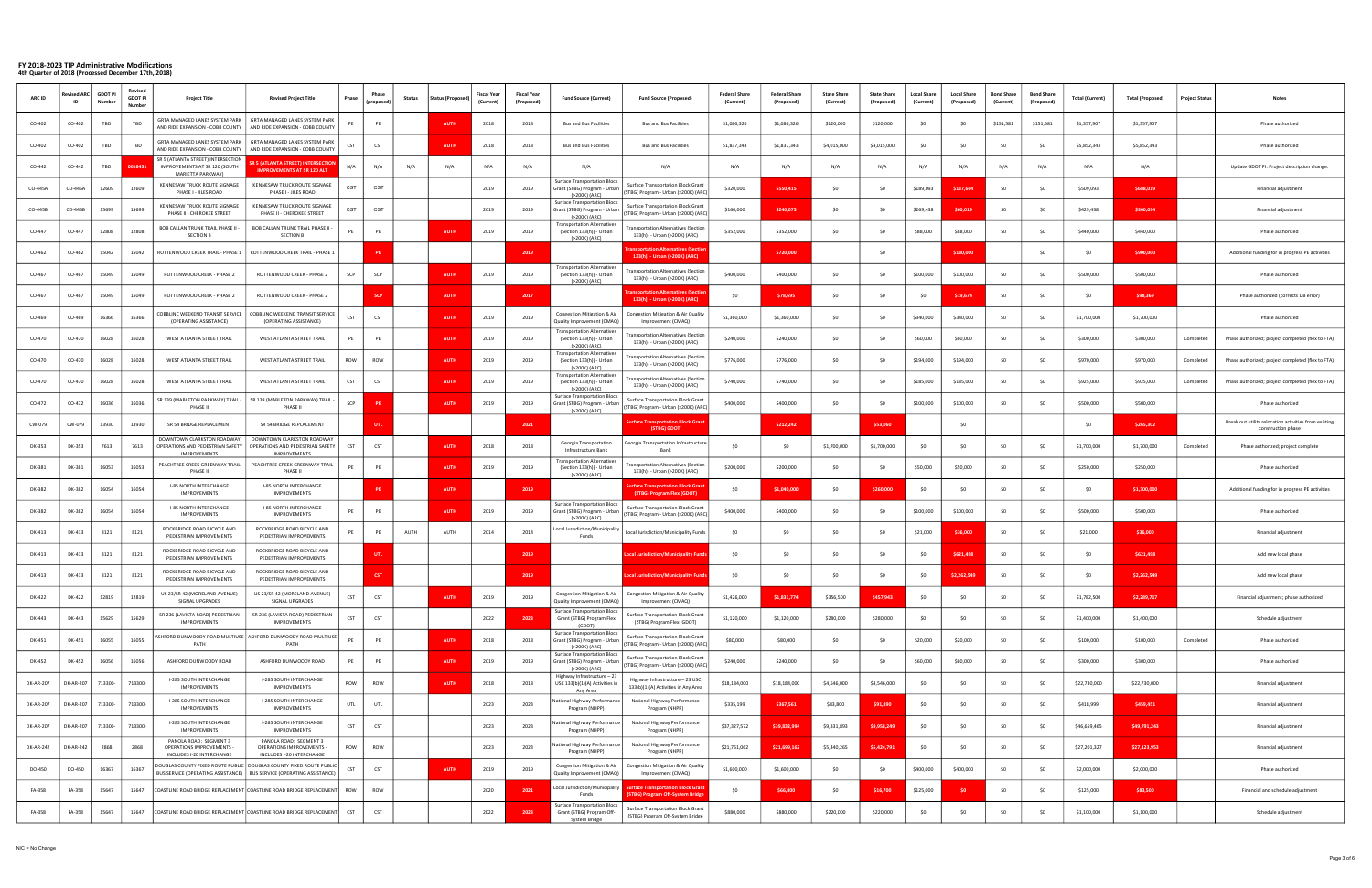| <b>ARC ID</b> | evised A<br>ID   | GDOT PI<br><b>Numb</b> | Revise<br><b>GDOT PI</b><br>Numbe | <b>Project Title</b>                                                                     | <b>Revised Project Title</b>                                                                                                                     | Phase      | Phase           | <b>Status</b> | <b>Status (Propose</b> | <b>Fiscal Year</b><br>(Current) | <b>Fiscal Year</b><br>(Proposeo | <b>Fund Source (Current)</b>                                                         | <b>Fund Source (Proposed)</b>                                                   | <b>Federal Share</b><br>(Current) | <b>Federal Share</b><br>(Proposed) | <b>State Share</b><br>(Current) | <b>State Share</b><br>(Proposed) | <b>Local Share</b><br>(Current | <b>Local Share</b><br>(Proposed | <b>Bond Share</b><br>(Current | <b>Bond Share</b><br>(Propose | <b>Total (Current)</b> | <b>Total (Proposed)</b> | <b>Project Status</b> | <b>Notes</b>                                                                |
|---------------|------------------|------------------------|-----------------------------------|------------------------------------------------------------------------------------------|--------------------------------------------------------------------------------------------------------------------------------------------------|------------|-----------------|---------------|------------------------|---------------------------------|---------------------------------|--------------------------------------------------------------------------------------|---------------------------------------------------------------------------------|-----------------------------------|------------------------------------|---------------------------------|----------------------------------|--------------------------------|---------------------------------|-------------------------------|-------------------------------|------------------------|-------------------------|-----------------------|-----------------------------------------------------------------------------|
| CO-402        | CO-402           | TBD                    | TBD                               | GRTA MANAGED LANES SYSTEM PARK<br>AND RIDE EXPANSION - COBB COUNTY                       | GRTA MANAGED LANES SYSTEM PARK<br>AND RIDE EXPANSION - COBB COUNTY                                                                               |            | PE              |               | AUTH                   | 2018                            | 2018                            | <b>Bus and Bus Facilities</b>                                                        | <b>Bus and Bus Facilities</b>                                                   | \$1,086,326                       | \$1,086,326                        | \$120,000                       | \$120,000                        |                                |                                 | \$151,581                     | \$151,581                     | \$1,357,907            | \$1,357,907             |                       | Phase authorized                                                            |
| CO-402        | CO-402           | TBD                    | TBD                               | GRTA MANAGED LANES SYSTEM PARK<br>AND RIDE EXPANSION - COBB COUNTY                       | GRTA MANAGED LANES SYSTEM PARK<br>AND RIDE EXPANSION - COBB COUNTY                                                                               | CST        | <b>CST</b>      |               | AUTH                   | 2018                            | 2018                            | <b>Bus and Bus Facilities</b>                                                        | <b>Bus and Bus Facilities</b>                                                   | \$1,837,343                       | \$1,837,343                        | \$4,015,000                     | \$4,015,000                      |                                |                                 |                               |                               | \$5,852,343            | \$5,852,343             |                       | Phase authorized                                                            |
| CO-442        | CO-442           | TBD                    |                                   | SR 5 (ATLANTA STREET) INTERSECTION<br>IMPROVEMENTS AT SR 120 (SOUTH<br>MARIETTA PARKWAY) | <b>5 (ATLANTA STREET) INTERSECTION</b><br><b>IMPROVEMENTS AT SR 120 ALT</b>                                                                      | N/A        | N/A             | N/A           | N/A                    | N/A                             | N/A                             | N/A                                                                                  | N/A                                                                             | N/A                               | N/A                                | N/A                             | N/A                              | N/A                            | N/A                             | N/A                           | N/A                           | N/A                    | N/A                     |                       | Update GDOT PI. Project description change.                                 |
| CO-445A       | CO-445A          | 12609                  | 12609                             | KENNESAW TRUCK ROUTE SIGNAGE<br>PHASE I - JILES ROAD                                     | KENNESAW TRUCK ROUTE SIGNAGE<br>PHASE I - JILES ROAD                                                                                             | CST        | CST             |               |                        | 2019                            | 2019                            | Surface Transportation Block<br>Grant (STBG) Program - Urban<br>(>200K) (ARC)        | <b>Surface Transportation Block Grant</b><br>STBG) Program - Urban (>200K) (ARC | \$320,000                         | \$550,41                           | SO                              |                                  | \$189,093                      | \$137.60                        |                               |                               | \$509,093              | \$688,019               |                       | Financial adjustment                                                        |
| CO-445B       | $CO-445F$        | 15699                  | 15699                             | <b>CENNESAW TRUCK ROUTE SIGNAGE</b><br>PHASE II - CHEROKEE STREET                        | KENNESAW TRUCK ROUTE SIGNAGE<br>PHASE II - CHEROKEE STREET                                                                                       | CST        | CST             |               |                        | 2019                            | 2019                            | <b>Surface Transportation Block</b><br>Grant (STBG) Program - Urbar<br>(>200K) (ARC) | Surface Transportation Block Grant<br>(STBG) Program - Urban (>200K) (ARC)      | \$160,000                         | \$240.075                          | \$0                             |                                  | \$269,438                      | \$60,019                        |                               |                               | \$429,438              | \$300,094               |                       | Financial adjustment                                                        |
| CO-447        | CO-447           | 12808                  | 12808                             | <b>BOB CALLAN TRUNK TRAIL PHASE II -</b><br><b>SECTION B</b>                             | <b>BOB CALLAN TRUNK TRAIL PHASE II -</b><br><b>SECTION B</b>                                                                                     | PE         | PE              |               | <b>AUTH</b>            | 2019                            | 2019                            | <b>Transportation Alternatives</b><br>(Section 133(h)) - Urban<br>(>200K) (ARC)      | ransportation Alternatives (Sectior<br>133(h)) - Urban (>200K) (ARC)            | \$352,000                         | \$352,000                          | \$0                             |                                  | \$88,000                       | \$88,000                        |                               |                               | \$440,000              | \$440,000               |                       | Phase authorized                                                            |
| CO-462        | $CO-46$          | 15042                  | 15042                             | ROTTENWOOD CREEK TRAIL - PHASE 1                                                         | ROTTENWOOD CREEK TRAIL - PHASE 1                                                                                                                 |            | PE              |               |                        |                                 | 2019                            |                                                                                      | sportation Alternatives (Sectio<br>133(h)) - Urban (>200K) (ARC)                |                                   | \$720,000                          |                                 | - SO                             |                                | \$180,000                       |                               |                               | -SO                    | \$900,000               |                       | Additional funding for in progress PE activities                            |
| CO-467        | CO-467           | 15049                  | 15049                             | ROTTENWOOD CREEK - PHASE 2                                                               | ROTTENWOOD CREEK - PHASE 2                                                                                                                       | SCP        | SCP             |               | <b>AUTH</b>            | 2019                            | 2019                            | <b>Transportation Alternatives</b><br>(Section 133(h)) - Urban<br>(>200K) (ARC)      | ransportation Alternatives (Section<br>133(h)) - Urban (>200K) (ARC)            | \$400,000                         | \$400,000                          | SO                              |                                  | \$100,000                      | \$100,000                       |                               |                               | \$500,000              | \$500,000               |                       | Phase authorized                                                            |
| CO-467        | CO-467           | 15049                  | 15049                             | ROTTENWOOD CREEK - PHASE 2                                                               | ROTTENWOOD CREEK - PHASE 2                                                                                                                       |            | <b>SCP</b>      |               | AUTH                   |                                 | 2017                            |                                                                                      | ansportation Alternatives (Sect<br>133(h)) - Urban (>200K) (ARC                 | \$0                               | \$78,695                           | SO                              |                                  |                                | \$19,674                        |                               |                               | SO                     | \$98,369                |                       | Phase authorized (corrects DB error)                                        |
| CO-469        | CO-469           | 16366                  | 16366                             | OBBLINC WEEKEND TRANSIT SERVICE<br>(OPERATING ASSISTANCE)                                | COBBLINC WEEKEND TRANSIT SERVICE<br>(OPERATING ASSISTANCE)                                                                                       | CST        | <b>CST</b>      |               | <b>AUTH</b>            | 2019                            | 2019                            | Congestion Mitigation & Air<br>Quality Improvement (CMAQ)                            | Congestion Mitigation & Air Quality<br>Improvement (CMAQ)                       | \$1,360,000                       | \$1,360,000                        | SO                              |                                  | \$340,000                      | \$340,000                       |                               |                               | \$1,700,000            | \$1,700,000             |                       | Phase authorized                                                            |
| CO-470        | CO-470           | 16028                  | 16028                             | WEST ATLANTA STREET TRAIL                                                                | WEST ATLANTA STREET TRAIL                                                                                                                        | PE         | PE              |               | AUTH                   | 2019                            | 2019                            | <b>Transportation Alternatives</b><br>(Section 133(h)) - Urban<br>(>200K) (ARC)      | ransportation Alternatives (Section<br>133(h)) - Urban (>200K) (ARC)            | \$240,000                         | \$240,000                          | \$0                             |                                  | \$60,000                       | \$60,000                        |                               |                               | \$300,000              | \$300,000               | Completed             | Phase authorized; project completed (flex to FTA)                           |
| CO-470        | $CO - 47$        | 16028                  | 16028                             | WEST ATLANTA STREET TRAIL                                                                | WEST ATLANTA STREET TRAIL                                                                                                                        | ROW        | ROW             |               | AUTH                   | 2019                            | 2019                            | <b>Transportation Alternatives</b><br>(Section 133(h)) - Urban<br>(>200K) (ARC)      | ransportation Alternatives (Section<br>133(h)) - Urban (>200K) (ARC)            | \$776,000                         | \$776,000                          | \$0                             |                                  | \$194,000                      | \$194,000                       |                               |                               | \$970,000              | \$970,000               | Completed             | Phase authorized; project completed (flex to FTA)                           |
| CO-470        | CO-470           | 16028                  | 16028                             | WEST ATLANTA STREET TRAIL                                                                | WEST ATLANTA STREET TRAIL                                                                                                                        | <b>CST</b> | <b>CST</b>      |               | AUTH                   | 2019                            | 2019                            | <b>Transportation Alternatives</b><br>(Section 133(h)) - Urban<br>(>200K) (ARC)      | ransportation Alternatives (Section<br>133(h)) - Urban (>200K) (ARC)            | \$740,000                         | \$740,000                          | SO                              |                                  | \$185,000                      | \$185,000                       |                               |                               | \$925,000              | \$925,000               | Completed             | Phase authorized; project completed (flex to FTA)                           |
| CO-472        | CO-472           | 16036                  | 16036                             | SR 139 (MABLETON PARKWAY) TRAIL -<br>PHASE II                                            | SR 139 (MABLETON PARKWAY) TRAIL -<br>PHASE II                                                                                                    | SCP        |                 |               | AUTH                   | 2019                            | 2019                            | Surface Transportation Block<br>Grant (STBG) Program - Urban<br>(>200K) (ARC)        | Surface Transportation Block Grant<br>(STBG) Program - Urban (>200K) (ARC       | \$400,000                         | \$400,000                          | \$0                             |                                  | \$100,000                      | \$100,000                       |                               |                               | \$500,000              | \$500,000               |                       | Phase authorized                                                            |
| CW-079        | CW-079           | 13930                  | 13930                             | SR 54 BRIDGE REPLACEMENT                                                                 | SR 54 BRIDGE REPLACEMENT                                                                                                                         |            | UTL             |               |                        |                                 | 2021                            |                                                                                      | <b>Surface Transportation Block Grant</b><br>(STBG) GDOT                        |                                   | \$212.242                          |                                 | \$53,060                         |                                | - SO                            |                               |                               | \$0                    | \$265,302               |                       | Break out utility relocation activities from existing<br>construction phase |
| DK-353        | DK-353           | 7613                   | 7613                              | DOWNTOWN CLARKSTON ROADWAY<br>OPERATIONS AND PEDESTRIAN SAFETY<br><b>IMPROVEMENTS</b>    | DOWNTOWN CLARKSTON ROADWAY<br>OPERATIONS AND PEDESTRIAN SAFETY<br><b>IMPROVEMENTS</b>                                                            | CST        | <b>CST</b>      |               | AUTH                   | 2018                            | 2018                            | Georgia Transportation<br>Infrastructure Bank                                        | Georgia Transportation Infrastructure<br>Bank                                   | S <sub>0</sub>                    |                                    | \$1,700,000                     | \$1,700,000                      |                                |                                 |                               |                               | \$1,700,000            | \$1,700,000             | Completed             | Phase authorized; project complete                                          |
| DK-381        | DK-38:           | 16053                  | 16053                             | PEACHTREE CREEK GREENWAY TRAIL<br>PHASE I                                                | PEACHTREE CREEK GREENWAY TRAIL<br>PHASE II                                                                                                       | PE         | PE              |               | AUTH                   | 2019                            | 2019                            | <b>Transportation Alternatives</b><br>(Section 133(h)) - Urban<br>(>200K) (ARC)      | ransportation Alternatives (Section<br>133(h)) - Urban (>200K) (ARC)            | \$200,000                         | \$200,000                          | SO                              |                                  | \$50,000                       | \$50,000                        |                               |                               | \$250,000              | \$250,000               |                       | Phase authorized                                                            |
| DK-382        | DK-382           | 16054                  | 16054                             | <b>I-85 NORTH INTERCHANGE</b><br>IMPROVEMENTS                                            | I-85 NORTH INTERCHANGE<br>IMPROVEMENTS                                                                                                           |            |                 |               | <b>AUTH</b>            |                                 | 2019                            |                                                                                      | urface Transportation Block Gra<br>(STBG) Program Flex (GDOT)                   | S0                                | \$1,040.00                         | SO                              | \$260.00                         | \$0                            | - SO                            |                               |                               | <b>SO</b>              | \$1,300,000             |                       | Additional funding for in progress PE activities                            |
| DK-382        | DK-382           | 16054                  | 16054                             | <b>I-85 NORTH INTERCHANGE</b><br>IMPROVEMENTS                                            | I-85 NORTH INTERCHANGE<br>IMPROVEMENTS                                                                                                           | PE         | PE              |               | AUTH                   | 2019                            | 2019                            | Surface Transportation Block<br>Grant (STBG) Program - Urban<br>(>200K) (ARC)        | Surface Transportation Block Grant<br>(STBG) Program - Urban (>200K) (ARC       | \$400,000                         | \$400,000                          | \$0                             |                                  | \$100,000                      | \$100,000                       |                               |                               | \$500,000              | \$500,000               |                       | Phase authorized                                                            |
| DK-413        | DK-413           | 8121                   | 8121                              | ROCKBRIDGE ROAD BICYCLE AND<br>PEDESTRIAN IMPROVEMENTS                                   | ROCKBRIDGE ROAD BICYCLE AND<br>PEDESTRIAN IMPROVEMENTS                                                                                           | PE         | PE              | AUTH          | AUTH                   | 2014                            | 2014                            | Local Jurisdiction/Municipalit<br>Funds                                              | Local Jurisdiction/Municipality Funds                                           | \$0                               |                                    | \$0                             |                                  | \$21,000                       | \$36,000                        |                               |                               | \$21,000               | \$36,000                |                       | Financial adjustment                                                        |
| DK-413        | DK-413           | 8121                   | 8121                              | ROCKBRIDGE ROAD BICYCLE AND<br>PEDESTRIAN IMPROVEMENTS                                   | ROCKBRIDGE ROAD BICYCLE AND<br>PEDESTRIAN IMPROVEMENTS                                                                                           |            | UTI             |               |                        |                                 | 2019                            |                                                                                      | cal Jurisdiction/Municipality Fu                                                | S0                                |                                    | \$0                             |                                  |                                | \$621,498                       |                               |                               | S0                     | \$621,498               |                       | Add new local phase                                                         |
| DK-413        | DK-413           | 8121                   | 8121                              | ROCKBRIDGE ROAD BICYCLE AND<br>PEDESTRIAN IMPROVEMENTS                                   | ROCKBRIDGE ROAD BICYCLE AND<br>PEDESTRIAN IMPROVEMENTS                                                                                           |            | CS <sub>1</sub> |               |                        |                                 | 2019                            |                                                                                      | cal Jurisdiction/Municipality Fun                                               | \$0                               | \$0                                | \$0                             |                                  |                                | \$2.262.54                      |                               |                               | -SO                    | \$2,262,549             |                       | Add new local phase                                                         |
| DK-422        | DK-422           | 12819                  | 12819                             | US 23/SR 42 (MORELAND AVENUE)<br>SIGNAL UPGRADES                                         | US 23/SR 42 (MORELAND AVENUE)<br>SIGNAL UPGRADES                                                                                                 | <b>CST</b> | <b>CST</b>      |               | <b>AUTH</b>            | 2019                            | 2019                            | Congestion Mitigation & Air<br>Quality Improvement (CMAQ)                            | Congestion Mitigation & Air Quality<br>Improvement (CMAQ)                       | \$1,426,000                       | \$1,831,774                        | \$356,500                       | \$457,943                        | \$0                            | \$0                             | SO                            | \$0                           | \$1,782,500            | \$2,289,717             |                       | Financial adjustment; phase authorized                                      |
| DK-443        | DK-443           | 15629                  | 15629                             | SR 236 (LAVISTA ROAD) PEDESTRIAN<br><b>IMPROVEMENTS</b>                                  | SR 236 (LAVISTA ROAD) PEDESTRIAN<br>IMPROVEMENTS                                                                                                 | <b>CST</b> | <b>CST</b>      |               |                        | 2022                            | 2023                            | <b>Surface Transportation Block</b><br>Grant (STBG) Program Flex<br>(GDOT            | Surface Transportation Block Grant<br>(STBG) Program Flex (GDOT)                | \$1,120,000                       | \$1,120,000                        | \$280,000                       | \$280,000                        | -SO                            | SO.                             |                               | - SC                          | \$1,400,000            | \$1,400,000             |                       | Schedule adjustment                                                         |
| DK-451        | DK-451           | 16055                  | 16055                             | PATH                                                                                     | ASHFORD DUNWOODY ROAD MULTIUSE ASHFORD DUNWOODY ROAD MULTIUSE<br>PATH                                                                            | PE         | PE              |               | <b>AUTH</b>            | 2018                            | 2018                            | Surface Transportation Block<br>Grant (STBG) Program - Urban<br>(>200K) (ARC)        | Surface Transportation Block Grant<br>(STBG) Program - Urban (>200K) (ARC)      | \$80,000                          | \$80,000                           | \$0                             | -SO                              | \$20,000                       | \$20,000                        |                               | - \$0                         | \$100,000              | \$100,000               | Completed             | Phase authorized                                                            |
| DK-452        | DK-452           | 16056                  | 16056                             | ASHFORD DUNWOODY ROAD                                                                    | ASHFORD DUNWOODY ROAD                                                                                                                            | PE         | PE              |               | <b>AUTH</b>            | 2019                            | 2019                            | <b>Surface Transportation Block</b><br>Grant (STBG) Program - Urban<br>(>200K) (ARC) | Surface Transportation Block Grant<br>(STBG) Program - Urban (>200K) (ARC)      | \$240,000                         | \$240,000                          | SO                              | - SO                             | \$60,000                       | \$60,000                        |                               | - so                          | \$300,000              | \$300,000               |                       | Phase authorized                                                            |
| DK-AR-207     | <b>DK-AR-207</b> | 713300-                | 713300-                           | I-285 SOUTH INTERCHANGE<br><b>IMPROVEMENTS</b>                                           | I-285 SOUTH INTERCHANGE<br>IMPROVEMENTS                                                                                                          | ROW        | ROW             |               | <b>AUTH</b>            | 2018                            | 2018                            | Highway Infrastructure - 23<br>USC 133(b)(1)(A) Activities in<br>Any Area            | Highway Infrastructure - 23 USC<br>133(b)(1)(A) Activities in Any Area          | \$18,184,000                      | \$18,184,000                       | \$4,546,000                     | \$4,546,000                      | SO                             | SO.                             |                               |                               | \$22,730,000           | \$22,730,000            |                       | Financial adjustment                                                        |
| DK-AR-207     | DK-AR-207        | 713300-                | 713300-                           | <b>I-285 SOUTH INTERCHANGE</b><br>IMPROVEMENTS                                           | I-285 SOUTH INTERCHANGE<br>IMPROVEMENTS                                                                                                          | UTL        | UTL             |               |                        | 2023                            | 2023                            | National Highway Performance<br>Program (NHPP)                                       | National Highway Performance<br>Program (NHPP)                                  | \$335,199                         | \$367,561                          | \$83,800                        | \$91,890                         | \$0                            | S <sub>0</sub>                  | SO.                           | - \$0                         | \$418,999              | \$459,451               |                       | Financial adjustment                                                        |
| DK-AR-207     | DK-AR-207        | 713300-                | 713300-                           | I-285 SOUTH INTERCHANGE<br>IMPROVEMENTS                                                  | I-285 SOUTH INTERCHANGE<br>IMPROVEMENTS                                                                                                          | <b>CST</b> | <b>CST</b>      |               |                        | 2023                            | 2023                            | Vational Highway Performance<br>Program (NHPP)                                       | National Highway Performance<br>Program (NHPP)                                  | \$37,327,572                      | \$39,832,994                       | \$9,331,893                     | \$9,958,249                      | \$0                            | - SO                            |                               | - SC                          | \$46,659,465           | \$49,791,243            |                       | Financial adjustment                                                        |
| DK-AR-242     | <b>DK-AR-242</b> | 2868                   | 2868                              | PANOLA ROAD: SEGMENT 3<br>OPERATIONS IMPROVEMENTS -<br>INCLUDES I-20 INTERCHANGE         | PANOLA ROAD: SEGMENT 3<br><b>OPERATIONS IMPROVEMENTS -</b><br>INCLUDES I-20 INTERCHANGE                                                          | ROW        | ROW             |               |                        | 2023                            | 2023                            | National Highway Performance<br>Program (NHPP)                                       | National Highway Performance<br>Program (NHPP)                                  | \$21,761,062                      | \$21,699,162                       | \$5,440,265                     | \$5,424,791                      | SO                             | SO.                             |                               | - SC                          | \$27,201,327           | \$27,123,953            |                       | Financial adjustment                                                        |
| DO-450        | DO-450           | 16367                  | 16367                             |                                                                                          | DOUGLAS COUNTY FIXED ROUTE PUBLIC   DOUGLAS COUNTY FIXED ROUTE PUBLIC<br>BUS SERVICE (OPERATING ASSISTANCE)   BUS SERVICE (OPERATING ASSISTANCE) | CST        | <b>CST</b>      |               | <b>AUTH</b>            | 2019                            | 2019                            | Congestion Mitigation & Air<br>Quality Improvement (CMAQ)                            | Congestion Mitigation & Air Quality<br>Improvement (CMAQ)                       | \$1,600,000                       | \$1,600,000                        | \$0                             | - SO                             | \$400,000                      | \$400,000                       |                               | - \$0                         | \$2,000,000            | \$2,000,000             |                       | Phase authorized                                                            |
| FA-358        | FA-358           | 15647                  | 15647                             |                                                                                          | COASTLINE ROAD BRIDGE REPLACEMENT COASTLINE ROAD BRIDGE REPLACEMENT                                                                              | ROW        | ROW             |               |                        | 2020                            | 2021                            | Local Jurisdiction/Municipality<br>Funds                                             | urface Transportation Block Grant<br><b>STBG) Program Off-System Bridge</b>     | \$0                               | \$66,800                           | \$0                             | \$16,700                         | \$125,000                      | \$0                             | SO.                           |                               | \$125,000              | \$83,500                |                       | Financial and schedule adjustment                                           |
| FA-358        | FA-358           | 15647                  | 15647                             | COASTLINE ROAD BRIDGE REPLACEMENT COASTLINE ROAD BRIDGE REPLACEMENT                      |                                                                                                                                                  | <b>CST</b> | <b>CST</b>      |               |                        | 2022                            | 2023                            | Surface Transportation Block<br>Grant (STBG) Program Off-<br><b>System Bridge</b>    | Surface Transportation Block Grant<br>(STBG) Program Off-System Bridge          | \$880,000                         | \$880,000                          | \$220,000                       | \$220,000                        | \$0                            | S <sub>0</sub>                  | \$0                           | - \$0                         | \$1,100,000            | \$1,100,000             |                       | Schedule adjustment                                                         |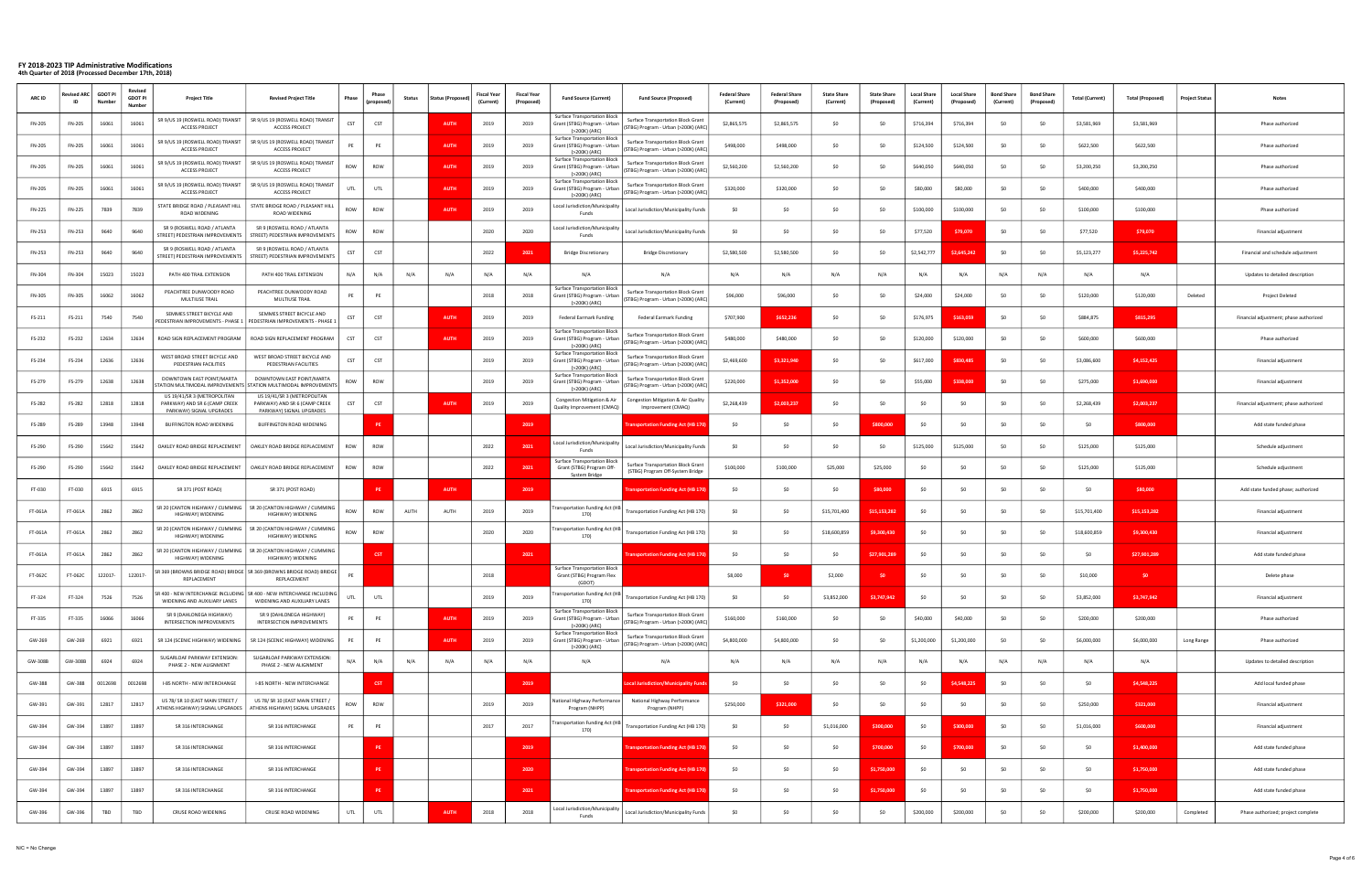| <b>ARC ID</b> | evised ARC:<br>ID | <b>GDOT PI</b><br>Numb | Revised<br><b>GDOT PI</b><br><b>Numbe</b> | <b>Project Title</b>                                                                     | <b>Revised Project Title</b>                                                                              | Phase      | Phase<br>(propose | <b>Status</b> | <b>Status (Propos</b> | <b>Fiscal Year</b><br>(Current) | <b>Fiscal Year</b><br>(Proposed) | <b>Fund Source (Current)</b>                                                         | <b>Fund Source (Proposed)</b>                                                    | <b>Federal Share</b><br>(Current) | <b>Federal Share</b><br>(Proposed) | <b>State Share</b><br>(Current) | <b>State Share</b><br>(Proposed) | <b>Local Share</b><br>(Current) | <b>Local Share</b><br>(Proposed) | <b>Bond Share</b><br>(Current) | <b>Bond Share</b><br>(Proposed | <b>Total (Current)</b> | <b>Total (Proposed)</b> | Project Status | Notes                                  |
|---------------|-------------------|------------------------|-------------------------------------------|------------------------------------------------------------------------------------------|-----------------------------------------------------------------------------------------------------------|------------|-------------------|---------------|-----------------------|---------------------------------|----------------------------------|--------------------------------------------------------------------------------------|----------------------------------------------------------------------------------|-----------------------------------|------------------------------------|---------------------------------|----------------------------------|---------------------------------|----------------------------------|--------------------------------|--------------------------------|------------------------|-------------------------|----------------|----------------------------------------|
| FN-205        | FN-205            | 16061                  | 16061                                     | SR 9/US 19 (ROSWELL ROAD) TRANSIT<br><b>ACCESS PROJECT</b>                               | SR 9/US 19 (ROSWELL ROAD) TRANSIT<br><b>ACCESS PROJECT</b>                                                | <b>CST</b> | <b>CST</b>        |               | AUTH                  | 2019                            | 2019                             | <b>Surface Transportation Block</b><br>Grant (STBG) Program - Urban<br>(>200K) (ARC) | <b>Surface Transportation Block Grant</b><br>(STBG) Program - Urban (>200K) (ARC | \$2,865,575                       | \$2,865,575                        | SO                              |                                  | \$716,394                       | \$716,394                        | -SO                            |                                | \$3,581,969            | \$3,581,969             |                | Phase authorized                       |
| FN-205        | FN-205            | 16061                  | 16061                                     | SR 9/US 19 (ROSWELL ROAD) TRANSIT<br><b>ACCESS PROJECT</b>                               | SR 9/US 19 (ROSWELL ROAD) TRANSIT<br><b>ACCESS PROJECT</b>                                                | PE         | PE                |               | <b>AUTH</b>           | 2019                            | 2019                             | Surface Transportation Block<br>Grant (STBG) Program - Urban<br>(>200K) (ARC)        | <b>Surface Transportation Block Grant</b><br>(STBG) Program - Urban (>200K) (ARC | \$498,000                         | \$498,000                          | SO                              |                                  | \$124,500                       | \$124,500                        |                                |                                | \$622,500              | \$622,500               |                | Phase authorized                       |
| FN-205        | FN-205            | 16061                  | 16061                                     | SR 9/US 19 (ROSWELL ROAD) TRANSIT<br><b>ACCESS PROJECT</b>                               | SR 9/US 19 (ROSWELL ROAD) TRANSIT<br><b>ACCESS PROJECT</b>                                                | ROW        | ROW               |               | <b>AUTH</b>           | 2019                            | 2019                             | <b>Surface Transportation Block</b><br>Grant (STBG) Program - Urban<br>(>200K) (ARC) | <b>Surface Transportation Block Grant</b><br>(STBG) Program - Urban (>200K) (ARC | \$2,560,200                       | \$2,560,200                        | \$0                             |                                  | \$640,050                       | \$640,050                        |                                |                                | \$3,200,250            | \$3,200,250             |                | Phase authorized                       |
| FN-205        | FN-205            | 16061                  | 16061                                     | SR 9/US 19 (ROSWELL ROAD) TRANSIT<br><b>ACCESS PROJECT</b>                               | SR 9/US 19 (ROSWELL ROAD) TRANSIT<br><b>ACCESS PROJECT</b>                                                | UTL        | UTL               |               | <b>AUTH</b>           | 2019                            | 2019                             | Surface Transportation Block<br>Grant (STBG) Program - Urban<br>(>200K) (ARC         | Surface Transportation Block Grant<br>(STBG) Program - Urban (>200K) (ARC        | \$320,000                         | \$320,000                          | SO                              |                                  | \$80,000                        | \$80,000                         |                                |                                | \$400,000              | \$400,000               |                | Phase authorized                       |
| FN-225        | FN-225            | 7839                   | 7839                                      | STATE BRIDGE ROAD / PLEASANT HILL<br>ROAD WIDENING                                       | STATE BRIDGE ROAD / PLEASANT HILL<br>ROAD WIDENING                                                        | ROW        | ROW               |               | AUTH                  | 2019                            | 2019                             | Local Jurisdiction/Municipality<br>Funds                                             | Local Jurisdiction/Municipality Funds                                            | \$0                               | S0                                 | \$0                             |                                  | \$100,000                       | \$100,000                        |                                |                                | \$100,000              | \$100,000               |                | Phase authorized                       |
| FN-253        | FN-253            | 9640                   | 9640                                      | SR 9 (ROSWELL ROAD / ATLANTA<br>STREET) PEDESTRIAN IMPROVEMENTS                          | SR 9 (ROSWELL ROAD / ATLANTA<br>STREET) PEDESTRIAN IMPROVEMENTS                                           | ROW        | ROW               |               |                       | 2020                            | 2020                             | Local Jurisdiction/Municipality<br>Funds                                             | Local Jurisdiction/Municipality Funds                                            | S <sub>0</sub>                    | S0                                 | SO                              |                                  | \$77,520                        | \$79,070                         |                                |                                | \$77,520               | \$79,070                |                | Financial adjustment                   |
| FN-253        | FN-253            | 9640                   | 9640                                      | SR 9 (ROSWELL ROAD / ATLANTA<br>TREET) PEDESTRIAN IMPROVEMENTS                           | SR 9 (ROSWELL ROAD / ATLANTA<br>STREET) PEDESTRIAN IMPROVEMENTS                                           | CST        | <b>CST</b>        |               |                       | 2022                            | 2021                             | <b>Bridge Discretionary</b>                                                          | <b>Bridge Discretionary</b>                                                      | \$2,580,500                       | \$2,580,500                        | S <sub>0</sub>                  |                                  | \$2,542,777                     | \$2,645,242                      |                                |                                | \$5,123,277            | \$5,225,742             |                | Financial and schedule adjustment      |
| FN-304        | FN-304            | 15023                  | 15023                                     | PATH 400 TRAIL EXTENSION                                                                 | PATH 400 TRAIL EXTENSION                                                                                  | N/A        | N/A               | N/A           | N/A                   | N/A                             | N/A                              | N/A                                                                                  | N/A                                                                              | N/A                               | N/A                                | N/A                             | N/A                              | N/A                             | N/A                              | N/A                            | N/A                            | N/A                    | N/A                     |                | Updates to detailed description        |
| FN-305        | FN-305            | 16062                  | 16062                                     | PEACHTREE DUNWOODY ROAD<br>MULTIUSE TRAIL                                                | PEACHTREE DUNWOODY ROAD<br>MULTIUSE TRAIL                                                                 | PE         | PE                |               |                       | 2018                            | 2018                             | <b>Surface Transportation Block</b><br>Grant (STBG) Program - Urban<br>(>200K) (ARC  | <b>Surface Transportation Block Grant</b><br>STBG) Program - Urban (>200K) (ARC  | \$96,000                          | \$96,000                           | \$0                             |                                  | \$24,000                        | \$24,000                         |                                |                                | \$120,000              | \$120,000               | Deleted        | Project Deleted                        |
| FS-211        | FS-211            | 7540                   | 7540                                      | SEMMES STREET BICYCLE AND                                                                | SEMMES STREET BICYCLE AND<br>PEDESTRIAN IMPROVEMENTS - PHASE 1   PEDESTRIAN IMPROVEMENTS - PHASE 1        | CST        | <b>CST</b>        |               | AUTH                  | 2019                            | 2019                             | Federal Earmark Funding                                                              | Federal Earmark Funding                                                          | \$707,900                         | \$652,236                          | \$0                             |                                  | \$176,975                       | \$163,059                        |                                |                                | \$884,875              | \$815,295               |                | Financial adjustment; phase authorized |
| FS-232        | FS-232            | 12634                  | 12634                                     | ROAD SIGN REPLACEMENT PROGRAM                                                            | ROAD SIGN REPLACEMENT PROGRAM                                                                             | CST        | <b>CST</b>        |               | AUTH                  | 2019                            | 2019                             | Surface Transportation Block<br>Grant (STBG) Program - Urban<br>(>200K) (ARC)        | <b>Surface Transportation Block Grant</b><br>(STBG) Program - Urban (>200K) (ARC | \$480,000                         | \$480,000                          | SO                              |                                  | \$120,000                       | \$120,000                        | -SO                            |                                | \$600,000              | \$600,000               |                | Phase authorized                       |
| FS-234        | FS-234            | 12636                  | 12636                                     | WEST BROAD STREET BICYCLE AND<br>PEDESTRIAN FACILITIES                                   | WEST BROAD STREET BICYCLE AND<br>PEDESTRIAN FACILITIES                                                    | CST        | CST               |               |                       | 2019                            | 2019                             | Surface Transportation Block<br>Grant (STBG) Program - Urban<br>(>200K) (ARC)        | <b>Surface Transportation Block Grant</b><br>(STBG) Program - Urban (>200K) (ARC | \$2,469,600                       | \$3,321,940                        | \$0                             |                                  | \$617,000                       | \$830,485                        |                                |                                | \$3,086,600            | \$4,152,425             |                | Financial adjustment                   |
| FS-279        | FS-279            | 12638                  | 12638                                     | DOWNTOWN EAST POINT/MARTA                                                                | DOWNTOWN EAST POINT/MARTA<br>TATION MULTIMODAL IMPROVEMENTS STATION MULTIMODAL IMPROVEMENTS               | ROW        | ROW               |               |                       | 2019                            | 2019                             | <b>Surface Transportation Block</b><br>Grant (STBG) Program - Urban<br>(>200K) (ARC) | Surface Transportation Block Grant<br>(STBG) Program - Urban (>200K) (ARC        | \$220,000                         | \$1,352,000                        | SO                              |                                  | \$55,000                        | \$338,000                        |                                |                                | \$275,000              | \$1,690,000             |                | Financial adjustment                   |
| FS-282        | FS-282            | 12818                  | 12818                                     | US 19/41/SR 3 (METROPOLITAN<br>PARKWAY) AND SR 6 (CAMP CREEK<br>PARKWAY) SIGNAL UPGRADES | US 19/41/SR 3 (METROPOLITAN<br>PARKWAY) AND SR 6 (CAMP CREEK<br>PARKWAY) SIGNAL UPGRADES                  | CST        | CST               |               | <b>AUTH</b>           | 2019                            | 2019                             | Congestion Mitigation & Air<br>Quality Improvement (CMAQ)                            | Congestion Mitigation & Air Quality<br>Improvement (CMAQ)                        | \$2,268,439                       | \$2,003,237                        | SO                              |                                  | S0                              |                                  |                                |                                | \$2,268,439            | \$2,003,237             |                | Financial adjustment; phase authorized |
| FS-289        | FS-289            | 13948                  | 13948                                     | <b>BUFFINGTON ROAD WIDENING</b>                                                          | BUFFINGTON ROAD WIDENING                                                                                  |            | <b>PE</b>         |               |                       |                                 | 2019                             |                                                                                      | ransportation Funding Act (HB 170)                                               | -SC                               | S0                                 | \$0                             | \$800,000                        | SO.                             | - SO                             |                                |                                | SO.                    | \$800,000               |                | Add state funded phase                 |
| FS-290        | FS-290            | 15642                  | 15642                                     | OAKLEY ROAD BRIDGE REPLACEMENT                                                           | OAKLEY ROAD BRIDGE REPLACEMENT                                                                            | ROW        | ROW               |               |                       | 2022                            | 2021                             | Local Jurisdiction/Municipality<br>Funds                                             | Local Jurisdiction/Municipality Funds                                            | \$0                               | -so                                | \$0                             |                                  | \$125,000                       | \$125,000                        |                                |                                | \$125,000              | \$125,000               |                | Schedule adjustment                    |
| FS-290        | FS-290            | 15642                  | 15642                                     | OAKLEY ROAD BRIDGE REPLACEMENT                                                           | OAKLEY ROAD BRIDGE REPLACEMENT                                                                            | ROW        | ROW               |               |                       | 2022                            | 2021                             | Surface Transportation Block<br>Grant (STBG) Program Off-<br>System Bridge           | Surface Transportation Block Grant<br>(STBG) Program Off-System Bridge           | \$100,000                         | \$100,000                          | \$25,000                        | \$25,000                         | 50                              |                                  |                                |                                | \$125,000              | \$125,000               |                | Schedule adjustment                    |
| FT-030        | FT-030            | 6915                   | 6915                                      | SR 371 (POST ROAD)                                                                       | SR 371 (POST ROAD)                                                                                        |            |                   |               | <b>AUTH</b>           |                                 | 2019                             |                                                                                      | ransportation Funding Act (HB 170)                                               | \$0                               | \$0                                | SO                              | \$80,000                         | \$0                             | \$0                              |                                |                                | -SO                    | \$80,000                |                | Add state funded phase; authorized     |
| FT-061A       | FT-061A           | 2862                   | 2862                                      | HIGHWAY) WIDENING                                                                        | SR 20 (CANTON HIGHWAY / CUMMING   SR 20 (CANTON HIGHWAY / CUMMING<br>HIGHWAY) WIDENING                    | ROW        | ROW               | AUTH          | AUTH                  | 2019                            | 2019                             | ransportation Funding Act (HB<br>170)                                                | Fransportation Funding Act (HB 170)                                              | \$0                               | \$0                                | \$15,701,400                    | \$15,153,282                     | SO                              |                                  |                                |                                | \$15,701,400           | \$15,153,282            |                | Financial adjustment                   |
| FT-061A       | FT-061A           | 2862                   | 2862                                      | HIGHWAY) WIDENING                                                                        | R 20 (CANTON HIGHWAY / CUMMING   SR 20 (CANTON HIGHWAY / CUMMING<br>HIGHWAY) WIDENING                     | ROW        | ROW               |               |                       | 2020                            | 2020                             | ransportation Funding Act (HB<br>170)                                                | Transportation Funding Act (HB 170)                                              | \$0                               | \$0                                | \$18,600,859                    | \$9,300,430                      | SO.                             |                                  |                                |                                | \$18,600,859           | \$9,300,430             |                | Financial adjustment                   |
| FT-061A       | FT-061A           | 2862                   | 2862                                      | SR 20 (CANTON HIGHWAY / CUMMING<br>HIGHWAY) WIDENING                                     | SR 20 (CANTON HIGHWAY / CUMMING<br>HIGHWAY) WIDENING                                                      |            |                   |               |                       |                                 | 2021                             |                                                                                      | ransportation Funding Act (HB 17                                                 | \$0                               | SO.                                | \$0                             | \$27.901.28                      | SO                              |                                  |                                |                                | SO.                    | \$27,901,289            |                | Add state funded phase                 |
| FT-062C       | FT-062C           | 122017-                | 122017-                                   | REPLACEMENT                                                                              | SR 369 (BROWNS BRIDGE ROAD) BRIDGE   SR 369 (BROWNS BRIDGE ROAD) BRIDGE  <br>REPLACEMENT                  | PE         |                   |               |                       | 2018                            |                                  | <b>Surface Transportation Block</b><br>Grant (STBG) Program Flex<br>(GDC             |                                                                                  | \$8,000                           | \$0                                | \$2,000                         |                                  | \$0                             |                                  | \$0                            |                                | \$10,000               | SO <sub>1</sub>         |                | Delete phase                           |
| FT-324        | FT-324            | 7526                   | 7526                                      | WIDENING AND AUXILIARY LANES                                                             | SR 400 - NEW INTERCHANGE INCLUDING   SR 400 - NEW INTERCHANGE INCLUDING  <br>WIDENING AND AUXILIARY LANES | UTL        | UTL               |               |                       | 2019                            | 2019                             | <b>Transportation Funding Act (HB</b><br>170)                                        | Transportation Funding Act (HB 170)                                              | \$0                               | \$0                                | \$3,852,000                     | \$3,747,942                      | \$0                             | \$0                              | \$0                            | <b>SO</b>                      | \$3,852,000            | \$3,747,942             |                | Financial adjustment                   |
| FT-335        | FT-335            | 16066                  | 16066                                     | SR 9 (DAHLONEGA HIGHWAY)<br>INTERSECTION IMPROVEMENTS                                    | SR 9 (DAHLONEGA HIGHWAY)<br>INTERSECTION IMPROVEMENTS                                                     | PE         | PE                |               | <b>AUTH</b>           | 2019                            | 2019                             | <b>Surface Transportation Block</b><br>Grant (STBG) Program - Urban<br>(>200K) (ARC) | Surface Transportation Block Grant<br>(STBG) Program - Urban (>200K) (ARC)       | \$160,000                         | \$160,000                          | SO                              |                                  | \$40,000                        | \$40,000                         | SO.                            |                                | \$200,000              | \$200,000               |                | Phase authorized                       |
| GW-269        | GW-269            | 6921                   | 6921                                      | SR 124 (SCENIC HIGHWAY) WIDENING                                                         | SR 124 (SCENIC HIGHWAY) WIDENING                                                                          | PE         | PE                |               | <b>AUTH</b>           | 2019                            | 2019                             | Surface Transportation Block<br>Grant (STBG) Program - Urban<br>(>200K) (ARC)        | Surface Transportation Block Grant<br>(STBG) Program - Urban (>200K) (ARC        | \$4,800,000                       | \$4,800,000                        | \$0                             | -SO                              | \$1,200,000                     | \$1,200,000                      | SO.                            | -SO                            | \$6,000,000            | \$6,000,000             | Long Range     | Phase authorized                       |
| GW-308B       | <b>GW-308B</b>    | 6924                   | 6924                                      | SUGARLOAF PARKWAY EXTENSION:<br>PHASE 2 - NEW ALIGNMENT                                  | SUGARLOAF PARKWAY EXTENSION:<br>PHASE 2 - NEW ALIGNMENT                                                   | N/A        | N/A               | N/A           | N/A                   | N/A                             | N/A                              | N/A                                                                                  | N/A                                                                              | N/A                               | N/A                                | N/A                             | N/A                              | N/A                             | N/A                              | N/A                            | N/A                            | N/A                    | N/A                     |                | Updates to detailed description        |
| GW-388        | GW-388            | 0012698                | 0012698                                   | I-85 NORTH - NEW INTERCHANGE                                                             | I-85 NORTH - NEW INTERCHANGE                                                                              |            | <b>CST</b>        |               |                       |                                 | 2019                             |                                                                                      | ocal Jurisdiction/Municipality Funds                                             | \$0                               | SO                                 | \$0                             |                                  | SO                              | \$4,548,225                      | S <sub>0</sub>                 | - so                           | SO                     | \$4,548,225             |                | Add local funded phase                 |
| GW-391        | GW-391            | 12817                  | 12817                                     | US 78/ SR 10 (EAST MAIN STREET /<br>ATHENS HIGHWAY) SIGNAL UPGRADES                      | US 78/ SR 10 (EAST MAIN STREET /<br>ATHENS HIGHWAY) SIGNAL UPGRADES                                       | ROW        | ROW               |               |                       | 2019                            | 2019                             | Vational Highway Performance<br>Program (NHPP)                                       | National Highway Performance<br>Program (NHPP)                                   | \$250,000                         | \$321,000                          | \$0                             | \$0                              | \$0                             | \$0                              | S <sub>0</sub>                 | - so                           | \$250,000              | \$321,000               |                | Financial adjustment                   |
| GW-394        | GW-394            | 13897                  | 13897                                     | SR 316 INTERCHANGE                                                                       | SR 316 INTERCHANGE                                                                                        | PE         | PE                |               |                       | 2017                            | 2017                             | ransportation Funding Act (HB<br>170)                                                | Transportation Funding Act (HB 170)                                              | \$0                               | \$0                                | \$1,016,000                     | \$300,000                        | \$0                             | \$300,000                        | SO.                            |                                | \$1,016,000            | \$600,000               |                | Financial adjustment                   |
| GW-394        | GW-394            | 13897                  | 13897                                     | SR 316 INTERCHANGE                                                                       | SR 316 INTERCHANGE                                                                                        |            | <b>PE</b>         |               |                       |                                 | 2019                             |                                                                                      | ransportation Funding Act (HB 170)                                               | \$0                               | SO.                                | \$0                             | \$700,000                        | \$0                             | \$700,000                        | SO.                            | SO.                            | SO.                    | \$1,400,000             |                | Add state funded phase                 |
| GW-394        | GW-394            | 13897                  | 13897                                     | SR 316 INTERCHANGE                                                                       | SR 316 INTERCHANGE                                                                                        |            | PE                |               |                       |                                 | 2020                             |                                                                                      | ansportation Funding Act (HB 170)                                                | \$0                               | SO.                                | \$0                             | \$1,750,000                      | \$0                             | - SO                             | SO.                            | -SO                            | \$0                    | \$1,750,000             |                | Add state funded phase                 |
| GW-394        | GW-394            | 13897                  | 13897                                     | SR 316 INTERCHANGE                                                                       | SR 316 INTERCHANGE                                                                                        |            |                   |               |                       |                                 | 2021                             |                                                                                      | ansportation Funding Act (HB 170)                                                | \$0                               | SO                                 | \$0                             | \$1,750,000                      | \$0                             | \$0                              |                                |                                | \$0                    | \$1,750,000             |                | Add state funded phase                 |
| GW-396        | GW-396            | TBD                    | TBD                                       | CRUSE ROAD WIDENING                                                                      | CRUSE ROAD WIDENING                                                                                       | UTL        | UTL               |               | <b>AUTH</b>           | 2018                            | 2018                             | Local Jurisdiction/Municipality<br>Funds                                             | Local Jurisdiction/Municipality Funds                                            | \$0                               | \$0                                | SO                              |                                  | \$200,000                       | \$200,000                        | \$0                            | S <sub>0</sub>                 | \$200,000              | \$200,000               | Completed      | Phase authorized; project complete     |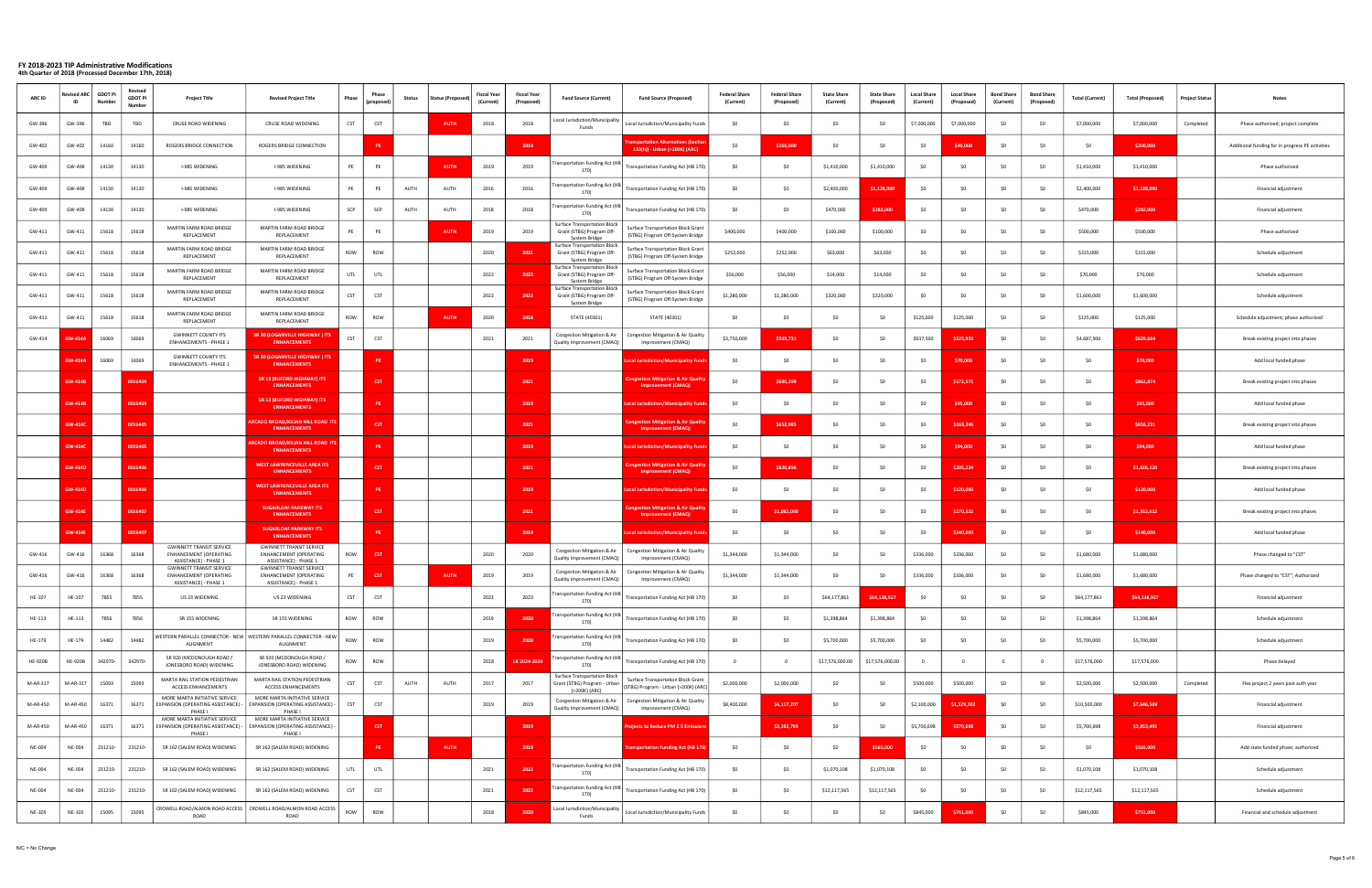| <b>ARC ID</b>  | evised ARC<br>ID | <b>GDOT PI</b><br>Numbe | Revised<br><b>GDOT PI</b><br>Number | <b>Project Title</b>                                                                      | <b>Revised Project Title</b>                                                              | Phase      | Phase<br>(propos | <b>Status</b> | <b>Status (Proposed</b> | Fiscal Year<br>(Current) | <b>Fiscal Year</b><br>(Proposed | <b>Fund Source (Current)</b>                                                         | <b>Fund Source (Proposed)</b>                                                 | <b>Federal Share</b><br>(Current) | <b>Federal Share</b><br>(Proposed) | <b>State Share</b><br>(Current) | <b>State Share</b><br>(Proposed | <b>Local Share</b><br>(Current) | <b>Local Share</b><br>(Proposed) | <b>Bond Share</b><br>(Current) | <b>Bond Share</b><br>(Proposed | <b>Total (Current)</b> | <b>Total (Proposed)</b> | <b>Project Status</b> | <b>Notes</b>                                     |
|----------------|------------------|-------------------------|-------------------------------------|-------------------------------------------------------------------------------------------|-------------------------------------------------------------------------------------------|------------|------------------|---------------|-------------------------|--------------------------|---------------------------------|--------------------------------------------------------------------------------------|-------------------------------------------------------------------------------|-----------------------------------|------------------------------------|---------------------------------|---------------------------------|---------------------------------|----------------------------------|--------------------------------|--------------------------------|------------------------|-------------------------|-----------------------|--------------------------------------------------|
| GW-396         | GW-396           | TBD                     | TBD                                 | CRUSE ROAD WIDENING                                                                       | CRUSE ROAD WIDENING                                                                       | <b>CST</b> | <b>CST</b>       |               | <b>AUTH</b>             | 2018                     | 2018                            | ocal Jurisdiction/Municipality<br>Funds                                              | Local Jurisdiction/Municipality Funds                                         | \$0                               | - SO                               | SO.                             | -SO                             | \$7,000,000                     | \$7,000,000                      | \$0                            | -SO                            | \$7,000,000            | \$7,000,000             | Completed             | Phase authorized; project complete               |
| GW-402         | GW-402           | 14160                   | 14160                               | ROGERS BRIDGE CONNECTION                                                                  | ROGERS BRIDGE CONNECTION                                                                  |            | PE               |               |                         |                          | 2019                            |                                                                                      | ansportation Alternatives (Sectio<br>133(h)) - Urban (>200K) (ARC)            | \$0                               | \$160,000                          | \$0                             | -SO                             | -SO                             | \$40,000                         |                                | -SO                            | \$0                    | \$200,000               |                       | Additional funding for in progress PE activities |
| GW-409         | GW-409           | 14130                   | 14130                               | I-985 WIDENING                                                                            | I-985 WIDENING                                                                            | PE         | PE               |               | <b>AUTH</b>             | 2019                     | 2019                            | ansportation Funding Act (HB<br>170)                                                 | Fransportation Funding Act (HB 170)                                           | \$0                               |                                    | \$1,410,000                     | \$1,410,000                     | \$0                             | -SO                              | -SO                            |                                | \$1,410,000            | \$1,410,000             |                       | Phase authorized                                 |
| GW-409         | GW-409           | 14130                   | 14130                               | I-985 WIDENING                                                                            | I-985 WIDENING                                                                            | PE         | PE               | AUTH          | AUTH                    | 2016                     | 2016                            | ransportation Funding Act (HB<br>170)                                                | Transportation Funding Act (HB 170)                                           | \$0                               |                                    | \$2,400,000                     | \$1,128,000                     |                                 |                                  |                                |                                | \$2,400,000            | \$1,128,000             |                       | Financial adjustment                             |
| GW-409         | GW-409           | 14130                   | 14130                               | I-985 WIDENING                                                                            | I-985 WIDENING                                                                            | SCP        | SCP              | AUTH          | AUTH                    | 2018                     | 2018                            | ransportation Funding Act (HB<br>170)                                                | Transportation Funding Act (HB 170)                                           | \$0                               | - SO                               | \$470,000                       | \$282,000                       |                                 | - SC                             |                                |                                | \$470,000              | \$282,000               |                       | Financial adjustment                             |
| GW-411         | GW-411           | 15618                   | 15618                               | MARTIN FARM ROAD BRIDGE<br>REPLACEMENT                                                    | MARTIN FARM ROAD BRIDGE<br>REPLACEMENT                                                    | PE         | PE               |               | <b>AUTH</b>             | 2019                     | 2019                            | Surface Transportation Block<br>Grant (STBG) Program Off-<br><b>System Bridge</b>    | <b>Surface Transportation Block Grant</b><br>(STBG) Program Off-System Bridge | \$400,000                         | \$400,000                          | \$100,000                       | \$100,000                       | - SO                            | - SC                             |                                |                                | \$500,000              | \$500,000               |                       | Phase authorized                                 |
| GW-411         | GW-411           | 15618                   | 15618                               | MARTIN FARM ROAD BRIDGE<br>REPLACEMENT                                                    | MARTIN FARM ROAD BRIDGE<br>REPLACEMENT                                                    | ROW        | ROW              |               |                         | 2020                     | 2021                            | Surface Transportation Block<br>Grant (STBG) Program Off-<br>System Bridge           | Surface Transportation Block Grant<br>(STBG) Program Off-System Bridge        | \$252,000                         | \$252,000                          | \$63,000                        | \$63,000                        | \$0                             | -SO                              | - so                           | -SO                            | \$315,000              | \$315,000               |                       | Schedule adjustment                              |
| GW-411         | GW-411           | 15618                   | 15618                               | MARTIN FARM ROAD BRIDGE<br>REPLACEMENT                                                    | MARTIN FARM ROAD BRIDGE<br>REPLACEMENT                                                    | <b>UTL</b> | UTL              |               |                         | 2022                     | 2023                            | <b>Surface Transportation Block</b><br>Grant (STBG) Program Off-<br>System Bridge    | Surface Transportation Block Grant<br>(STBG) Program Off-System Bridge        | \$56,000                          | \$56,000                           | \$14,000                        | \$14,000                        | - SO                            | - SC                             |                                |                                | \$70,000               | \$70,000                |                       | Schedule adjustment                              |
| GW-411         | GW-411           | 15618                   | 15618                               | MARTIN FARM ROAD BRIDGE<br>REPLACEMENT                                                    | MARTIN FARM ROAD BRIDGE<br>REPLACEMENT                                                    | CST        | <b>CST</b>       |               |                         | 2022                     | 2023                            | <b>Surface Transportation Block</b><br>Grant (STBG) Program Off-<br>System Bridge    | Surface Transportation Block Grant<br>(STBG) Program Off-System Bridge        | \$1,280,000                       | \$1,280,000                        | \$320,000                       | \$320,000                       | - SC                            |                                  |                                |                                | \$1,600,000            | \$1,600,000             |                       | Schedule adjustment                              |
| GW-411         | GW-411           | 15618                   | 15618                               | MARTIN FARM ROAD BRIDGE<br>REPLACEMENT                                                    | MARTIN FARM ROAD BRIDGE<br>REPLACEMENT                                                    | ROW        | ROW              |               | <b>AUTH</b>             | 2020                     | 2018                            | STATE (40301)                                                                        | STATE (40301)                                                                 | \$0                               |                                    | SO                              | -SO                             | \$125,000                       | \$125,000                        | -SO                            |                                | \$125,000              | \$125,000               |                       | Schedule adjustment; phase authorized            |
| GW-414         |                  | 16069                   | 16069                               | <b>GWINNETT COUNTY ITS</b><br><b>ENHANCEMENTS - PHASE 1</b>                               | SR 20 (LOGANVILLE HIGHWAY ) IT<br><b>ENHANCEMENTS</b>                                     | CST        | <b>CST</b>       |               |                         | 2021                     | 2021                            | Congestion Mitigation & Air<br>Quality Improvement (CMAQ)                            | Congestion Mitigation & Air Quality<br>Improvement (CMAQ)                     | \$3,750,000                       | \$503,731                          | \$0                             | -SO                             | \$937,500                       | \$125,933                        |                                |                                | \$4,687,500            | \$629,664               |                       | Break existing project into phases               |
|                |                  | 16069                   | 16069                               | <b>GWINNETT COUNTY ITS</b><br><b>ENHANCEMENTS - PHASE 1</b>                               | SR 20 (LOGANVILLE HIGHWAY ) ITS<br><b>ENHANCEMENTS</b>                                    |            |                  |               |                         |                          | 2019                            |                                                                                      | ocal Jurisdiction/Municipality Fund                                           | \$0                               | SO.                                | \$0                             | - SO                            | -SO                             | \$70,000                         |                                | -SO                            | \$0                    | \$70,000                |                       | Add local funded phase                           |
|                | GW-414E          |                         | 0016404                             |                                                                                           | <b>SR 13 (BUFORD HIGHWAY) ITS</b><br><b>ENHANCEMENTS</b>                                  |            | <b>CST</b>       |               |                         |                          | 2021                            |                                                                                      | ongestion Mitigation & Air Qual<br><b>Improvement (CMAQ</b>                   | \$0                               | \$690,299                          | \$0                             | -SO                             | -SO                             | \$172,575                        |                                |                                | SO.                    | \$862,874               |                       | Break existing project into phases               |
|                |                  |                         | 0016404                             |                                                                                           | <b>SR 13 (BUFORD HIGHWAY) ITS</b><br><b>ENHANCEMENTS</b>                                  |            |                  |               |                         |                          | 2019                            |                                                                                      | cal Jurisdiction/Municipality Fun                                             | \$0                               |                                    | SO                              | -SO                             | - SO                            | \$95,000                         |                                |                                |                        | \$95,000                |                       | Add local funded phase                           |
|                | GW-414           |                         | 0016405                             |                                                                                           | ARCADO RROAD/KILIAN HILL ROAD IT<br><b>ENHANCEMENTS</b>                                   |            | <b>CST</b>       |               |                         |                          | 2021                            |                                                                                      | <b>Ingestion Mitigation &amp; Air Qualit</b><br><b>Improvement (CMAO)</b>     | \$0                               | \$652,985                          | \$0                             | -SO                             |                                 | \$163,246                        |                                | S0                             | SO.                    | \$816,231               |                       | Break existing project into phases               |
|                | SW-41.           |                         |                                     |                                                                                           | RCADO RROAD/KILIAN HILL ROAD IT<br><b>ENHANCEMENTS</b>                                    |            |                  |               |                         |                          | 2019                            |                                                                                      | al Jurisdiction/Municipality Fu                                               | \$0                               | -SO                                | SO.                             | -SO                             | -SO                             | \$94,000                         |                                | -SO                            | SO.                    | \$94,000                |                       | Add local funded phase                           |
|                | <b>SW-414</b>    |                         |                                     |                                                                                           | <b>WEST LAWRENCEVILLE AREA ITS</b><br><b>ENHANCEMENTS</b>                                 |            | <b>CST</b>       |               |                         |                          | 2021                            |                                                                                      | ongestion Mitigation & Air Quality<br><b>Improvement (CMAQ)</b>               | \$0                               | \$820,896                          | \$0                             | -SO                             | -SO                             | \$205,224                        |                                | -SO                            | \$0                    | \$1,026,120             |                       | Break existing project into phases               |
|                | GW-4140          |                         | 0016406                             |                                                                                           | <b>WEST LAWRENCEVILLE AREA ITS</b><br><b>ENHANCEMENTS</b>                                 |            |                  |               |                         |                          | 2019                            |                                                                                      | <b>pcal Jurisdiction/Municipality Fun</b>                                     | SO                                | -SO                                | SO.                             | -SO                             | -SO                             | \$120,000                        |                                |                                | \$0                    | \$120,000               |                       | Add local funded phase                           |
|                |                  |                         | 0016407                             |                                                                                           | <b>SUGARLOAF PARKWAY ITS</b><br><b>ENHANCEMENTS</b>                                       |            | <b>CST</b>       |               |                         |                          | 2021                            |                                                                                      | ngestion Mitigation & Air Qualit<br>Improvement (CMAO)                        | \$0                               | \$1,082,090                        | SO                              | -SO                             |                                 | \$270,522                        |                                |                                |                        | \$1,352,612             |                       | Break existing project into phases               |
|                | $SW-41$          |                         | 001640                              |                                                                                           | <b>SUGARLOAF PARKWAY ITS</b><br><b>ENHANCEMENTS</b>                                       |            |                  |               |                         |                          | 2019                            |                                                                                      | ocal Jurisdiction/Municipality Fund                                           | \$0                               |                                    | \$0                             | -SO                             |                                 | \$140,000                        |                                | S0                             | SO.                    | \$140,000               |                       | Add local funded phase                           |
| GW-416         | GW-416           | 16368                   | 16368                               | <b>GWINNETT TRANSIT SERVICE</b><br><b>ENHANCEMENT (OPERATING</b><br>ASSISTANCE) - PHASE 1 | <b>GWINNETT TRANSIT SERVICE</b><br><b>ENHANCEMENT (OPERATING</b><br>ASSISTANCE) - PHASE 1 | ROW        | - 651            |               |                         | 2020                     | 2020                            | Congestion Mitigation & Air<br>Quality Improvement (CMAQ)                            | Congestion Mitigation & Air Quality<br>Improvement (CMAQ)                     | \$1,344,000                       | \$1,344,000                        | \$0                             | -SC                             | \$336,000                       | \$336,000                        | -SO                            |                                | \$1,680,000            | \$1,680,000             |                       | Phase changed to "CST"                           |
| GW-416         | GW-416           | 16368                   | 16368                               | <b>GWINNETT TRANSIT SERVICE</b><br><b>ENHANCEMENT (OPERATING</b><br>ASSISTANCE) - PHASE 1 | <b>GWINNETT TRANSIT SERVICE</b><br><b>ENHANCEMENT (OPERATING</b><br>ASSISTANCE) - PHASE 1 | PE         | CS <sub>1</sub>  |               | <b>AUTH</b>             | 2019                     | 2019                            | Congestion Mitigation & Air<br>Quality Improvement (CMAQ)                            | Congestion Mitigation & Air Quality<br>Improvement (CMAQ)                     | \$1,344,000                       | \$1,344,000                        | \$0                             | -SO                             | \$336,000                       | \$336,000                        | \$0                            | -SO                            | \$1,680,000            | \$1,680,000             |                       | Phase changed to "CST"; Authorized               |
| HE-107         | HE-107           | 7855                    | 7855                                | US 23 WIDENING                                                                            | US 23 WIDENING                                                                            | <b>CST</b> | <b>CST</b>       |               |                         | 2023                     | 2023                            | ransportation Funding Act (HB<br>170)                                                | Transportation Funding Act (HB 170)                                           | \$0                               | \$0                                | \$64,177,861                    | \$64,138,927                    | \$0                             | \$0                              | \$0                            | \$0                            | \$64,177,861           | \$64,138,927            |                       | Financial adjustment                             |
| HE-113         | HE-113           | 7856                    | 7856                                | SR 155 WIDENING                                                                           | SR 155 WIDENING                                                                           | ROW        | ROW              |               |                         | 2019                     | 2020                            | ransportation Funding Act (HB<br>170)                                                | Transportation Funding Act (HB 170)                                           | \$0                               | - SO                               | \$1,398,864                     | \$1,398,864                     | \$0                             | SO                               | SO.                            | S0                             | \$1,398,864            | \$1,398,864             |                       | Schedule adjustment                              |
| HE-179         | HE-179           | 14482                   | 14482                               | ALIGNMENT                                                                                 | WESTERN PARALLEL CONNECTOR - NEW   WESTERN PARALLEL CONNECTOR - NEW<br>ALIGNMENT          | ROW        | ROW              |               |                         | 2019                     | 2020                            | ransportation Funding Act (HB<br>170)                                                | Transportation Funding Act (HB 170)                                           | \$0                               | \$0                                | \$5,700,000                     | \$5,700,000                     | \$0                             | SO                               | \$0                            | S0                             | \$5,700,000            | \$5,700,000             |                       | Schedule adjustment                              |
| <b>HE-920B</b> | <b>HE-920B</b>   | 342970-                 | 342970-                             | SR 920 (MCDONOUGH ROAD /<br>JONESBORO ROAD) WIDENING                                      | SR 920 (MCDONOUGH ROAD /<br>JONESBORO ROAD) WIDENING                                      | ROW        | ROW              |               |                         | 2018                     | LR 2024-2030                    | ransportation Funding Act (HB<br>170)                                                | Transportation Funding Act (HB 170)                                           | $\overline{\mathbf{0}}$           | $\overline{0}$                     | \$17,576,000.00                 | \$17,576,000.00                 |                                 | $\overline{0}$                   |                                | - 0                            | \$17,576,000           | \$17,576,000            |                       | Phase delayed                                    |
| M-AR-317       | M-AR-317         | 15093                   | 15093                               | MARTA RAIL STATION PEDESTRIAN<br><b>ACCESS ENHANCEMENTS</b>                               | MARTA RAIL STATION PEDESTRIAN<br>ACCESS ENHANCEMENTS                                      | <b>CST</b> | CST              | AUTH          | AUTH                    | 2017                     | 2017                            | <b>Surface Transportation Block</b><br>Grant (STBG) Program - Urban<br>(>200K) (ARC) | Surface Transportation Block Grant<br>(STBG) Program - Urban (>200K) (ARC)    | \$2,000,000                       | \$2,000,000                        | \$0                             | SO.                             | \$500,000                       | \$500,000                        | \$0                            | SO.                            | \$2,500,000            | \$2,500,000             | Completed             | Flex project 2 years past auth year              |
| M-AR-450       | M-AR-450         | 16371                   | 16371                               | MORE MARTA INITIATIVE SERVICE<br>EXPANSION (OPERATING ASSISTANCE) -<br>PHASE I            | MORE MARTA INITIATIVE SERVICE<br>EXPANSION (OPERATING ASSISTANCE) -<br>PHASE I            | CST        | CST              |               |                         | 2019                     | 2019                            | Congestion Mitigation & Air<br>Quality Improvement (CMAQ)                            | Congestion Mitigation & Air Quality<br>Improvement (CMAQ)                     | \$8,400,000                       | \$6,117,207                        | \$0                             | \$0                             | \$2,100,000                     | \$1,529,302                      | \$0                            | \$0                            | \$10,500,000           | \$7,646,509             |                       | Financial adjustment                             |
| M-AR-450       | M-AR-450         | 16371                   | 16371                               | MORE MARTA INITIATIVE SERVICE<br>EXPANSION (OPERATING ASSISTANCE) -<br><b>PHASE</b>       | MORE MARTA INITIATIVE SERVICE<br>EXPANSION (OPERATING ASSISTANCE) -<br>PHASE I            |            | <b>CST</b>       |               |                         |                          | 2019                            |                                                                                      | rojects to Reduce PM 2.5 Emissions                                            |                                   | \$2,282,793                        | \$0                             | \$0                             | \$5,700,698                     | \$570,698                        | S0                             | S0                             | \$5,700,698            | \$2,853,491             |                       | Financial adjustment                             |
| NE-004         | NE-004           | 231210-                 | 231210-                             | SR 162 (SALEM ROAD) WIDENING                                                              | SR 162 (SALEM ROAD) WIDENING                                                              |            | <b>PE</b>        |               | <b>AUTH</b>             |                          | 2019                            |                                                                                      | ansportation Funding Act (HB 170)                                             | \$0                               | SO                                 | \$0                             | \$565,000                       | SO.                             | \$0                              | SO.                            | S0                             | \$0                    | \$565,000               |                       | Add state funded phase; authorized               |
| NE-004         | NE-004           | 231210-                 | 231210-                             | SR 162 (SALEM ROAD) WIDENING                                                              | SR 162 (SALEM ROAD) WIDENING                                                              | UTL        | UTL              |               |                         | 2021                     | 2022                            | ransportation Funding Act (HB<br>170)                                                | Transportation Funding Act (HB 170)                                           | \$0                               | \$0                                | \$1,070,108                     | \$1,070,108                     | \$0                             | \$0                              | \$0                            | \$0                            | \$1,070,108            | \$1,070,108             |                       | Schedule adjustment                              |
| NE-004         | NE-004           | 231210-                 | 231210-                             | SR 162 (SALEM ROAD) WIDENING                                                              | SR 162 (SALEM ROAD) WIDENING                                                              | <b>CST</b> | CST              |               |                         | 2021                     | 2022                            | ransportation Funding Act (HB<br>170)                                                | Transportation Funding Act (HB 170)                                           | \$0                               | \$0                                | \$12,117,565                    | \$12,117,565                    | \$0                             | \$0                              | \$0                            | SO.                            | \$12,117,565           | \$12,117,565            |                       | Schedule adjustment                              |
| NE-105         | NE-105           | 15095                   | 15095                               | ROAD                                                                                      | CROWELL ROAD/ALMON ROAD ACCESS   CROWELL ROAD/ALMON ROAD ACCESS<br>ROAD                   | ROW        | ROW              |               |                         | 2018                     | 2020                            | Local Jurisdiction/Municipality<br>Funds                                             | Local Jurisdiction/Municipality Funds                                         | \$0                               | \$0                                | \$0                             | \$0                             | \$845,000                       | \$751,000                        | \$0                            | \$0                            | \$845,000              | \$751,000               |                       | Financial and schedule adjustment                |